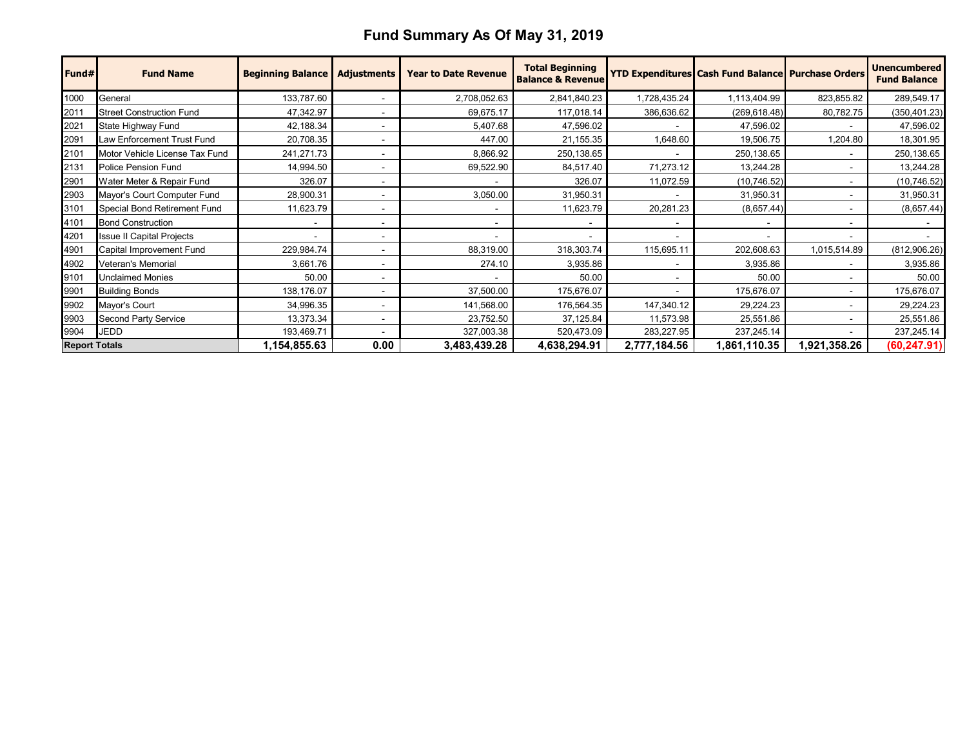## **Fund Summary As Of May 31, 2019**

| Fund#                | <b>Fund Name</b>                | <b>Beginning Balance</b> | <b>Adjustments</b>       | <b>Year to Date Revenue</b> | <b>Total Beginning</b><br><b>Balance &amp; Revenue</b> |                          | <b>YTD Expenditures Cash Fund Balance Purchase Orders</b> |              | <b>Unencumbered</b><br><b>Fund Balance</b> |
|----------------------|---------------------------------|--------------------------|--------------------------|-----------------------------|--------------------------------------------------------|--------------------------|-----------------------------------------------------------|--------------|--------------------------------------------|
| 1000                 | General                         | 133,787.60               |                          | 2,708,052.63                | 2,841,840.23                                           | 1,728,435.24             | 1,113,404.99                                              | 823,855.82   | 289,549.17                                 |
| 2011                 | <b>Street Construction Fund</b> | 47,342.97                |                          | 69,675.17                   | 117,018.14                                             | 386,636.62               | (269, 618.48)                                             | 80,782.75    | (350, 401.23)                              |
| 2021                 | State Highway Fund              | 42,188.34                |                          | 5,407.68                    | 47,596.02                                              |                          | 47,596.02                                                 |              | 47,596.02                                  |
| 2091                 | Law Enforcement Trust Fund      | 20,708.35                |                          | 447.00                      | 21,155.35                                              | 1,648.60                 | 19,506.75                                                 | 1,204.80     | 18,301.95                                  |
| 2101                 | Motor Vehicle License Tax Fund  | 241,271.73               |                          | 8,866.92                    | 250,138.65                                             | $\overline{\phantom{a}}$ | 250,138.65                                                |              | 250,138.65                                 |
| 2131                 | <b>Police Pension Fund</b>      | 14,994.50                |                          | 69,522.90                   | 84,517.40                                              | 71,273.12                | 13,244.28                                                 |              | 13,244.28                                  |
| 2901                 | Water Meter & Repair Fund       | 326.07                   |                          |                             | 326.07                                                 | 11,072.59                | (10,746.52)                                               |              | (10, 746.52)                               |
| 2903                 | Mayor's Court Computer Fund     | 28,900.31                |                          | 3,050.00                    | 31,950.31                                              |                          | 31,950.31                                                 |              | 31,950.31                                  |
| 3101                 | Special Bond Retirement Fund    | 11,623.79                |                          |                             | 11,623.79                                              | 20,281.23                | (8,657.44)                                                |              | (8,657.44)                                 |
| 4101                 | <b>Bond Construction</b>        |                          |                          |                             |                                                        |                          |                                                           |              |                                            |
| 4201                 | Issue II Capital Projects       |                          |                          |                             |                                                        | $\overline{\phantom{a}}$ |                                                           |              |                                            |
| 4901                 | Capital Improvement Fund        | 229,984.74               |                          | 88,319.00                   | 318,303.74                                             | 115,695.11               | 202,608.63                                                | 1,015,514.89 | (812,906.26)                               |
| 4902                 | Veteran's Memorial              | 3,661.76                 | $\overline{\phantom{0}}$ | 274.10                      | 3,935.86                                               | $\blacksquare$           | 3,935.86                                                  |              | 3,935.86                                   |
| 9101                 | <b>Unclaimed Monies</b>         | 50.00                    |                          |                             | 50.00                                                  | $\blacksquare$           | 50.00                                                     |              | 50.00                                      |
| 9901                 | <b>Building Bonds</b>           | 138,176.07               |                          | 37,500.00                   | 175,676.07                                             |                          | 175,676.07                                                |              | 175,676.07                                 |
| 9902                 | Mayor's Court                   | 34,996.35                |                          | 141,568.00                  | 176,564.35                                             | 147,340.12               | 29,224.23                                                 |              | 29,224.23                                  |
| 9903                 | Second Party Service            | 13,373.34                |                          | 23,752.50                   | 37,125.84                                              | 11,573.98                | 25,551.86                                                 |              | 25,551.86                                  |
| 9904                 | <b>JEDD</b>                     | 193,469.71               |                          | 327,003.38                  | 520,473.09                                             | 283,227.95               | 237,245.14                                                |              | 237,245.14                                 |
| <b>Report Totals</b> |                                 | 1,154,855.63             | 0.00                     | 3,483,439.28                | 4,638,294.91                                           | 2,777,184.56             | 1,861,110.35                                              | 1,921,358.26 | (60, 247.91)                               |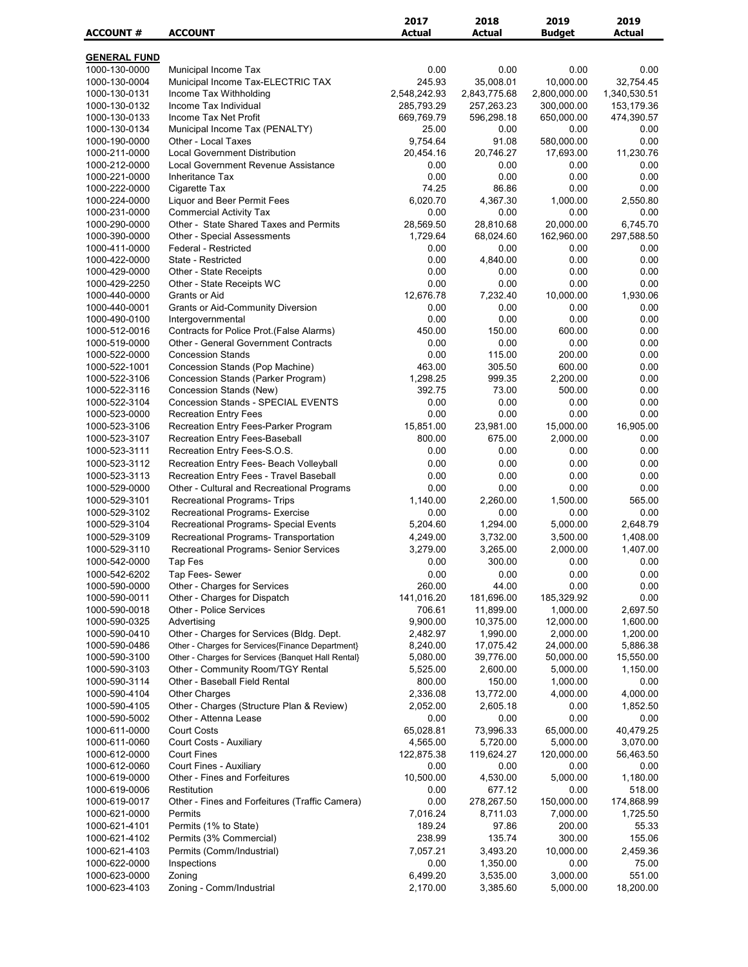| <b>ACCOUNT#</b>                | <b>ACCOUNT</b>                                                                        | 2017<br><b>Actual</b> | 2018<br><b>Actual</b>  | 2019<br><b>Budget</b>   | 2019<br><b>Actual</b>  |
|--------------------------------|---------------------------------------------------------------------------------------|-----------------------|------------------------|-------------------------|------------------------|
|                                |                                                                                       |                       |                        |                         |                        |
| <b>GENERAL FUND</b>            |                                                                                       |                       |                        |                         |                        |
| 1000-130-0000<br>1000-130-0004 | Municipal Income Tax<br>Municipal Income Tax-ELECTRIC TAX                             | 0.00<br>245.93        | 0.00<br>35,008.01      | 0.00<br>10,000.00       | 0.00<br>32,754.45      |
| 1000-130-0131                  | Income Tax Withholding                                                                | 2,548,242.93          | 2,843,775.68           | 2,800,000.00            | 1,340,530.51           |
| 1000-130-0132                  | Income Tax Individual                                                                 | 285,793.29            | 257,263.23             | 300,000.00              | 153,179.36             |
| 1000-130-0133                  | Income Tax Net Profit                                                                 | 669,769.79            | 596,298.18             | 650,000.00              | 474,390.57             |
| 1000-130-0134                  | Municipal Income Tax (PENALTY)                                                        | 25.00                 | 0.00                   | 0.00                    | 0.00                   |
| 1000-190-0000<br>1000-211-0000 | Other - Local Taxes<br><b>Local Government Distribution</b>                           | 9,754.64<br>20,454.16 | 91.08<br>20,746.27     | 580,000.00<br>17,693.00 | 0.00<br>11,230.76      |
| 1000-212-0000                  | Local Government Revenue Assistance                                                   | 0.00                  | 0.00                   | 0.00                    | 0.00                   |
| 1000-221-0000                  | <b>Inheritance Tax</b>                                                                | 0.00                  | 0.00                   | 0.00                    | 0.00                   |
| 1000-222-0000                  | Cigarette Tax                                                                         | 74.25                 | 86.86                  | 0.00                    | 0.00                   |
| 1000-224-0000                  | <b>Liquor and Beer Permit Fees</b>                                                    | 6,020.70              | 4,367.30               | 1,000.00                | 2,550.80               |
| 1000-231-0000                  | <b>Commercial Activity Tax</b>                                                        | 0.00                  | 0.00                   | 0.00                    | 0.00                   |
| 1000-290-0000<br>1000-390-0000 | Other - State Shared Taxes and Permits<br><b>Other - Special Assessments</b>          | 28,569.50<br>1,729.64 | 28,810.68<br>68,024.60 | 20,000.00<br>162,960.00 | 6,745.70<br>297,588.50 |
| 1000-411-0000                  | Federal - Restricted                                                                  | 0.00                  | 0.00                   | 0.00                    | 0.00                   |
| 1000-422-0000                  | State - Restricted                                                                    | 0.00                  | 4,840.00               | 0.00                    | 0.00                   |
| 1000-429-0000                  | Other - State Receipts                                                                | 0.00                  | 0.00                   | 0.00                    | 0.00                   |
| 1000-429-2250                  | Other - State Receipts WC                                                             | 0.00                  | 0.00                   | 0.00                    | 0.00                   |
| 1000-440-0000                  | Grants or Aid                                                                         | 12,676.78             | 7,232.40               | 10,000.00               | 1,930.06               |
| 1000-440-0001<br>1000-490-0100 | <b>Grants or Aid-Community Diversion</b><br>Intergovernmental                         | 0.00<br>0.00          | 0.00<br>0.00           | 0.00<br>0.00            | 0.00<br>0.00           |
| 1000-512-0016                  | Contracts for Police Prot. (False Alarms)                                             | 450.00                | 150.00                 | 600.00                  | 0.00                   |
| 1000-519-0000                  | <b>Other - General Government Contracts</b>                                           | 0.00                  | 0.00                   | 0.00                    | 0.00                   |
| 1000-522-0000                  | <b>Concession Stands</b>                                                              | 0.00                  | 115.00                 | 200.00                  | 0.00                   |
| 1000-522-1001                  | Concession Stands (Pop Machine)                                                       | 463.00                | 305.50                 | 600.00                  | 0.00                   |
| 1000-522-3106                  | Concession Stands (Parker Program)                                                    | 1,298.25<br>392.75    | 999.35<br>73.00        | 2,200.00<br>500.00      | 0.00<br>0.00           |
| 1000-522-3116<br>1000-522-3104 | Concession Stands (New)<br><b>Concession Stands - SPECIAL EVENTS</b>                  | 0.00                  | 0.00                   | 0.00                    | 0.00                   |
| 1000-523-0000                  | <b>Recreation Entry Fees</b>                                                          | 0.00                  | 0.00                   | 0.00                    | 0.00                   |
| 1000-523-3106                  | Recreation Entry Fees-Parker Program                                                  | 15,851.00             | 23,981.00              | 15,000.00               | 16,905.00              |
| 1000-523-3107                  | Recreation Entry Fees-Baseball                                                        | 800.00                | 675.00                 | 2,000.00                | 0.00                   |
| 1000-523-3111                  | Recreation Entry Fees-S.O.S.                                                          | 0.00                  | 0.00                   | 0.00                    | 0.00                   |
| 1000-523-3112                  | Recreation Entry Fees- Beach Volleyball                                               | 0.00                  | 0.00                   | 0.00                    | 0.00                   |
| 1000-523-3113<br>1000-529-0000 | Recreation Entry Fees - Travel Baseball<br>Other - Cultural and Recreational Programs | 0.00<br>0.00          | 0.00<br>0.00           | 0.00<br>0.00            | 0.00<br>0.00           |
| 1000-529-3101                  | Recreational Programs- Trips                                                          | 1,140.00              | 2,260.00               | 1,500.00                | 565.00                 |
| 1000-529-3102                  | Recreational Programs- Exercise                                                       | 0.00                  | 0.00                   | 0.00                    | 0.00                   |
| 1000-529-3104                  | Recreational Programs- Special Events                                                 | 5,204.60              | 1,294.00               | 5,000.00                | 2,648.79               |
| 1000-529-3109                  | Recreational Programs- Transportation                                                 | 4,249.00              | 3,732.00               | 3,500.00                | 1,408.00               |
| 1000-529-3110                  | Recreational Programs- Senior Services                                                | 3,279.00              | 3,265.00               | 2,000.00                | 1,407.00               |
| 1000-542-0000                  | Tap Fes                                                                               | 0.00                  | 300.00                 | 0.00                    | 0.00                   |
| 1000-542-6202                  | Tap Fees- Sewer                                                                       | 0.00                  | 0.00<br>44.00          | 0.00<br>0.00            | 0.00                   |
| 1000-590-0000<br>1000-590-0011 | Other - Charges for Services<br>Other - Charges for Dispatch                          | 260.00<br>141,016.20  | 181,696.00             | 185,329.92              | 0.00<br>0.00           |
| 1000-590-0018                  | Other - Police Services                                                               | 706.61                | 11,899.00              | 1,000.00                | 2,697.50               |
| 1000-590-0325                  | Advertising                                                                           | 9,900.00              | 10,375.00              | 12,000.00               | 1,600.00               |
| 1000-590-0410                  | Other - Charges for Services (Bldg. Dept.                                             | 2,482.97              | 1,990.00               | 2,000.00                | 1,200.00               |
| 1000-590-0486                  | Other - Charges for Services{Finance Department}                                      | 8,240.00              | 17,075.42              | 24,000.00               | 5,886.38               |
| 1000-590-3100                  | Other - Charges for Services {Banquet Hall Rental}                                    | 5,080.00              | 39,776.00              | 50,000.00               | 15,550.00              |
| 1000-590-3103<br>1000-590-3114 | Other - Community Room/TGY Rental<br>Other - Baseball Field Rental                    | 5,525.00<br>800.00    | 2,600.00<br>150.00     | 5,000.00<br>1,000.00    | 1,150.00<br>0.00       |
| 1000-590-4104                  | <b>Other Charges</b>                                                                  | 2,336.08              | 13,772.00              | 4,000.00                | 4,000.00               |
| 1000-590-4105                  | Other - Charges (Structure Plan & Review)                                             | 2,052.00              | 2,605.18               | 0.00                    | 1,852.50               |
| 1000-590-5002                  | Other - Attenna Lease                                                                 | 0.00                  | 0.00                   | 0.00                    | 0.00                   |
| 1000-611-0000                  | <b>Court Costs</b>                                                                    | 65,028.81             | 73,996.33              | 65,000.00               | 40,479.25              |
| 1000-611-0060                  | Court Costs - Auxiliary                                                               | 4,565.00              | 5,720.00               | 5,000.00                | 3,070.00               |
| 1000-612-0000<br>1000-612-0060 | <b>Court Fines</b><br>Court Fines - Auxiliary                                         | 122,875.38<br>0.00    | 119,624.27<br>0.00     | 120,000.00<br>0.00      | 56,463.50<br>0.00      |
| 1000-619-0000                  | Other - Fines and Forfeitures                                                         | 10,500.00             | 4,530.00               | 5,000.00                | 1,180.00               |
| 1000-619-0006                  | Restitution                                                                           | 0.00                  | 677.12                 | 0.00                    | 518.00                 |
| 1000-619-0017                  | Other - Fines and Forfeitures (Traffic Camera)                                        | 0.00                  | 278,267.50             | 150,000.00              | 174,868.99             |
| 1000-621-0000                  | Permits                                                                               | 7,016.24              | 8,711.03               | 7,000.00                | 1,725.50               |
| 1000-621-4101                  | Permits (1% to State)                                                                 | 189.24                | 97.86                  | 200.00                  | 55.33                  |
| 1000-621-4102                  | Permits (3% Commercial)                                                               | 238.99                | 135.74                 | 300.00                  | 155.06                 |
| 1000-621-4103                  | Permits (Comm/Industrial)                                                             | 7,057.21<br>0.00      | 3,493.20               | 10,000.00               | 2,459.36<br>75.00      |
| 1000-622-0000<br>1000-623-0000 | Inspections<br>Zoning                                                                 | 6,499.20              | 1,350.00<br>3,535.00   | 0.00<br>3,000.00        | 551.00                 |
| 1000-623-4103                  | Zoning - Comm/Industrial                                                              | 2,170.00              | 3,385.60               | 5,000.00                | 18,200.00              |
|                                |                                                                                       |                       |                        |                         |                        |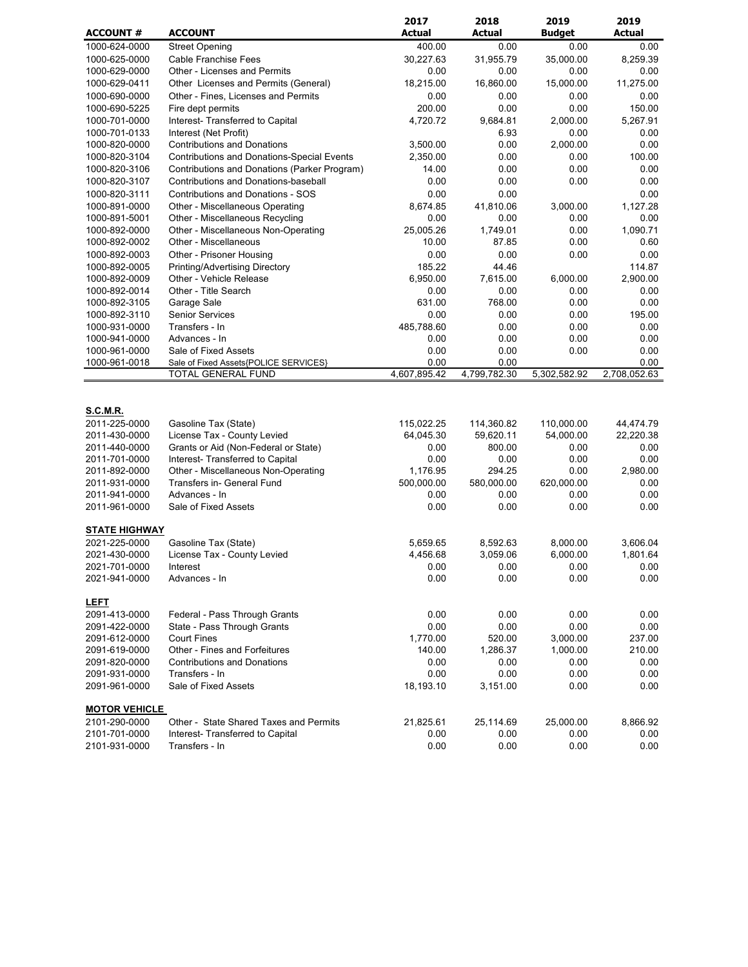|                                |                                                                         | 2017               | 2018                 | 2019               | 2019               |
|--------------------------------|-------------------------------------------------------------------------|--------------------|----------------------|--------------------|--------------------|
| <b>ACCOUNT #</b>               | <b>ACCOUNT</b>                                                          | <b>Actual</b>      | <b>Actual</b>        | <b>Budget</b>      | <b>Actual</b>      |
| 1000-624-0000                  | <b>Street Opening</b>                                                   | 400.00             | 0.00                 | 0.00               | 0.00               |
| 1000-625-0000                  | <b>Cable Franchise Fees</b>                                             | 30,227.63          | 31,955.79            | 35,000.00          | 8,259.39           |
| 1000-629-0000                  | <b>Other - Licenses and Permits</b>                                     | 0.00               | 0.00                 | 0.00               | 0.00               |
| 1000-629-0411                  | Other Licenses and Permits (General)                                    | 18,215.00          | 16,860.00            | 15,000.00          | 11,275.00          |
| 1000-690-0000                  | Other - Fines, Licenses and Permits                                     | 0.00               | 0.00                 | 0.00               | 0.00               |
| 1000-690-5225                  | Fire dept permits                                                       | 200.00             | 0.00                 | 0.00               | 150.00             |
| 1000-701-0000                  | Interest- Transferred to Capital                                        | 4,720.72           | 9,684.81             | 2,000.00           | 5,267.91           |
| 1000-701-0133                  | Interest (Net Profit)                                                   |                    | 6.93                 | 0.00               | 0.00               |
| 1000-820-0000                  | <b>Contributions and Donations</b>                                      | 3,500.00           | 0.00                 | 2,000.00           | 0.00               |
| 1000-820-3104                  | <b>Contributions and Donations-Special Events</b>                       | 2,350.00           | 0.00                 | 0.00               | 100.00             |
| 1000-820-3106                  | Contributions and Donations (Parker Program)                            | 14.00              | 0.00                 | 0.00               | 0.00               |
| 1000-820-3107                  | Contributions and Donations-baseball                                    | 0.00               | 0.00                 | 0.00               | 0.00               |
| 1000-820-3111                  | <b>Contributions and Donations - SOS</b>                                | 0.00               | 0.00                 |                    | 0.00               |
| 1000-891-0000                  | Other - Miscellaneous Operating                                         | 8,674.85           | 41,810.06            | 3,000.00           | 1,127.28           |
| 1000-891-5001                  | Other - Miscellaneous Recycling                                         | 0.00<br>25,005.26  | 0.00<br>1,749.01     | 0.00<br>0.00       | 0.00<br>1,090.71   |
| 1000-892-0000<br>1000-892-0002 | Other - Miscellaneous Non-Operating<br>Other - Miscellaneous            | 10.00              | 87.85                | 0.00               | 0.60               |
| 1000-892-0003                  | Other - Prisoner Housing                                                | 0.00               | 0.00                 | 0.00               | 0.00               |
|                                | Printing/Advertising Directory                                          |                    |                      |                    |                    |
| 1000-892-0005<br>1000-892-0009 | Other - Vehicle Release                                                 | 185.22<br>6,950.00 | 44.46<br>7,615.00    | 6,000.00           | 114.87<br>2,900.00 |
| 1000-892-0014                  | Other - Title Search                                                    | 0.00               | 0.00                 | 0.00               | 0.00               |
| 1000-892-3105                  | Garage Sale                                                             | 631.00             | 768.00               | 0.00               | 0.00               |
| 1000-892-3110                  | <b>Senior Services</b>                                                  | 0.00               | 0.00                 | 0.00               | 195.00             |
| 1000-931-0000                  | Transfers - In                                                          | 485,788.60         | 0.00                 | 0.00               | 0.00               |
| 1000-941-0000                  | Advances - In                                                           | 0.00               | 0.00                 | 0.00               | 0.00               |
| 1000-961-0000                  | Sale of Fixed Assets                                                    | 0.00               | 0.00                 | 0.00               | 0.00               |
| 1000-961-0018                  | Sale of Fixed Assets{POLICE SERVICES}                                   | 0.00               | 0.00                 |                    | 0.00               |
|                                | TOTAL GENERAL FUND                                                      | 4,607,895.42       | 4,799,782.30         | 5,302,582.92       | 2,708,052.63       |
| <b>S.C.M.R.</b>                |                                                                         |                    |                      |                    |                    |
| 2011-225-0000                  | Gasoline Tax (State)                                                    | 115,022.25         | 114,360.82           | 110,000.00         | 44,474.79          |
| 2011-430-0000                  | License Tax - County Levied                                             | 64,045.30          | 59,620.11            | 54,000.00          | 22,220.38          |
| 2011-440-0000                  | Grants or Aid (Non-Federal or State)                                    | 0.00               | 800.00               | 0.00               | 0.00               |
| 2011-701-0000                  | Interest- Transferred to Capital<br>Other - Miscellaneous Non-Operating | 0.00<br>1,176.95   | 0.00                 | 0.00               | 0.00<br>2,980.00   |
| 2011-892-0000<br>2011-931-0000 | Transfers in- General Fund                                              | 500,000.00         | 294.25<br>580,000.00 | 0.00<br>620,000.00 | 0.00               |
| 2011-941-0000                  | Advances - In                                                           | 0.00               | 0.00                 | 0.00               | 0.00               |
| 2011-961-0000                  | Sale of Fixed Assets                                                    | 0.00               | 0.00                 | 0.00               | 0.00               |
|                                |                                                                         |                    |                      |                    |                    |
| <b>STATE HIGHWAY</b>           |                                                                         |                    |                      |                    |                    |
| 2021-225-0000                  | Gasoline Tax (State)                                                    | 5,659.65           | 8,592.63             | 8,000.00           | 3,606.04           |
| 2021-430-0000                  | License Tax - County Levied                                             | 4,456.68           | 3,059.06             | 6,000.00           | 1,801.64           |
| 2021-701-0000                  | Interest                                                                | 0.00               | 0.00                 | 0.00               | 0.00               |
| 2021-941-0000                  | Advances - In                                                           | 0.00               | 0.00                 | 0.00               | 0.00               |
|                                |                                                                         |                    |                      |                    |                    |
| <b>LEFT</b>                    |                                                                         |                    |                      |                    |                    |
| 2091-413-0000                  | Federal - Pass Through Grants                                           | 0.00               | 0.00                 | 0.00               | 0.00               |
| 2091-422-0000                  | State - Pass Through Grants                                             | 0.00               | 0.00                 | 0.00               | 0.00               |
| 2091-612-0000                  | <b>Court Fines</b>                                                      | 1,770.00           | 520.00               | 3,000.00           | 237.00             |
| 2091-619-0000                  | Other - Fines and Forfeitures                                           | 140.00             | 1,286.37             | 1,000.00           | 210.00             |
| 2091-820-0000                  | <b>Contributions and Donations</b>                                      | 0.00               | 0.00                 | 0.00               | 0.00               |
| 2091-931-0000                  | Transfers - In                                                          | 0.00               | 0.00                 | 0.00               | 0.00               |
| 2091-961-0000                  | Sale of Fixed Assets                                                    | 18,193.10          | 3,151.00             | 0.00               | 0.00               |
| <b>MOTOR VEHICLE</b>           |                                                                         |                    |                      |                    |                    |
| 2101-290-0000                  | Other - State Shared Taxes and Permits                                  | 21,825.61          | 25,114.69            | 25,000.00          | 8,866.92           |
| 2101-701-0000                  | Interest- Transferred to Capital                                        | 0.00               | 0.00                 | 0.00               | 0.00               |
| 2101-931-0000                  | Transfers - In                                                          | 0.00               | 0.00                 | 0.00               | 0.00               |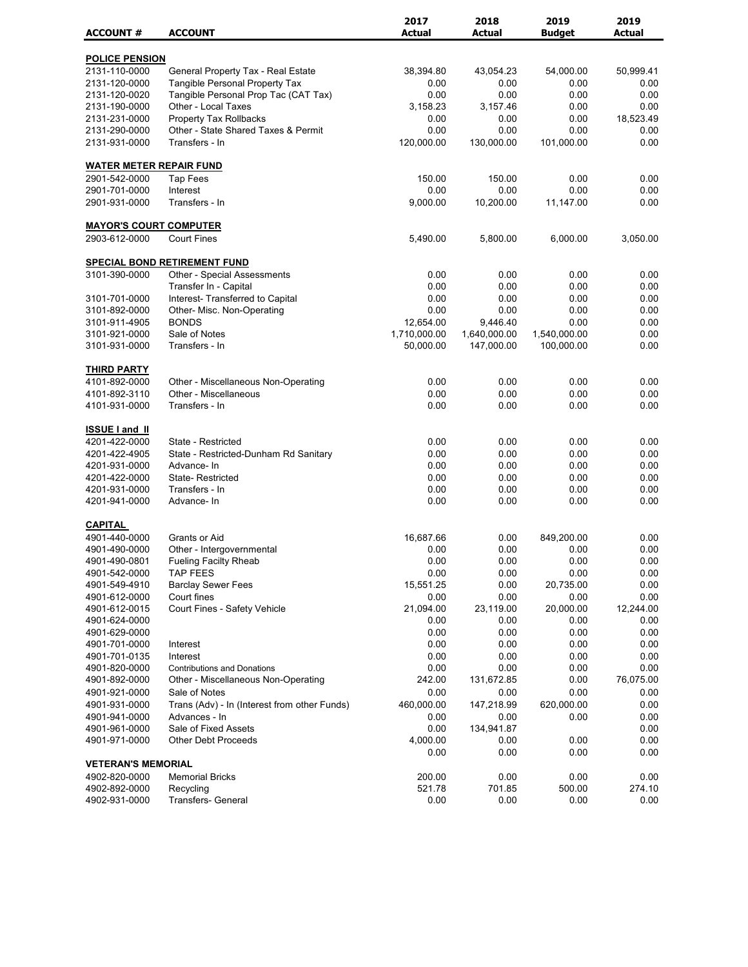|                                 |                                              | 2017          | 2018          | 2019          | 2019          |
|---------------------------------|----------------------------------------------|---------------|---------------|---------------|---------------|
| <b>ACCOUNT#</b>                 | <b>ACCOUNT</b>                               | <b>Actual</b> | <b>Actual</b> | <b>Budget</b> | <b>Actual</b> |
| <b>POLICE PENSION</b>           |                                              |               |               |               |               |
| 2131-110-0000                   | General Property Tax - Real Estate           | 38,394.80     | 43,054.23     | 54,000.00     | 50,999.41     |
| 2131-120-0000                   | <b>Tangible Personal Property Tax</b>        | 0.00          | 0.00          | 0.00          | 0.00          |
| 2131-120-0020                   | Tangible Personal Prop Tac (CAT Tax)         | 0.00          | 0.00          | 0.00          | 0.00          |
| 2131-190-0000                   | Other - Local Taxes                          | 3,158.23      | 3,157.46      | 0.00          | 0.00          |
| 2131-231-0000                   | Property Tax Rollbacks                       | 0.00          | 0.00          | 0.00          | 18,523.49     |
| 2131-290-0000                   | Other - State Shared Taxes & Permit          | 0.00          | 0.00          | 0.00          | 0.00          |
| 2131-931-0000                   | Transfers - In                               | 120,000.00    | 130.000.00    | 101,000.00    | 0.00          |
| <b>WATER METER REPAIR FUND</b>  |                                              |               |               |               |               |
| 2901-542-0000                   | <b>Tap Fees</b>                              | 150.00        | 150.00        | 0.00          | 0.00          |
| 2901-701-0000                   | Interest                                     | 0.00          | 0.00          | 0.00          | 0.00          |
| 2901-931-0000                   | Transfers - In                               | 9,000.00      | 10,200.00     | 11,147.00     | 0.00          |
| <b>MAYOR'S COURT COMPUTER</b>   |                                              |               |               |               |               |
| 2903-612-0000                   | <b>Court Fines</b>                           | 5,490.00      | 5,800.00      | 6,000.00      | 3,050.00      |
|                                 |                                              |               |               |               |               |
| 3101-390-0000                   | <b>SPECIAL BOND RETIREMENT FUND</b>          |               |               |               |               |
|                                 | Other - Special Assessments                  | 0.00          | 0.00          | 0.00          | 0.00          |
|                                 | Transfer In - Capital                        | 0.00          | 0.00          | 0.00          | 0.00          |
| 3101-701-0000                   | Interest- Transferred to Capital             | 0.00          | 0.00          | 0.00          | 0.00          |
| 3101-892-0000                   | Other- Misc. Non-Operating                   | 0.00          | 0.00          | 0.00          | 0.00          |
| 3101-911-4905                   | <b>BONDS</b>                                 | 12,654.00     | 9,446.40      | 0.00          | 0.00          |
| 3101-921-0000                   | Sale of Notes                                | 1,710,000.00  | 1,640,000.00  | 1,540,000.00  | 0.00          |
| 3101-931-0000                   | Transfers - In                               | 50,000.00     | 147,000.00    | 100,000.00    | 0.00          |
| <b>THIRD PARTY</b>              |                                              |               |               |               |               |
| 4101-892-0000                   | Other - Miscellaneous Non-Operating          | 0.00          | 0.00          | 0.00          | 0.00          |
| 4101-892-3110                   | Other - Miscellaneous                        | 0.00          | 0.00          | 0.00          | 0.00          |
| 4101-931-0000                   | Transfers - In                               | 0.00          | 0.00          | 0.00          | 0.00          |
| <b>ISSUE I and II</b>           |                                              |               |               |               |               |
| 4201-422-0000                   | State - Restricted                           | 0.00          | 0.00          | 0.00          | 0.00          |
| 4201-422-4905                   | State - Restricted-Dunham Rd Sanitary        | 0.00          | 0.00          | 0.00          | 0.00          |
| 4201-931-0000                   | Advance-In                                   | 0.00          | 0.00          | 0.00          | 0.00          |
| 4201-422-0000                   | <b>State-Restricted</b>                      | 0.00          | 0.00          | 0.00          | 0.00          |
| 4201-931-0000                   | Transfers - In                               | 0.00          | 0.00          | 0.00          | 0.00          |
| 4201-941-0000                   | Advance-In                                   | 0.00          | 0.00          | 0.00          | 0.00          |
|                                 |                                              |               |               |               |               |
| <b>CAPITAL</b><br>4901-440-0000 | Grants or Aid                                | 16,687.66     | 0.00          | 849,200.00    | 0.00          |
| 4901-490-0000                   | Other - Intergovernmental                    | 0.00          | 0.00          | 0.00          | 0.00          |
| 4901-490-0801                   | <b>Fueling Facilty Rheab</b>                 | 0.00          | 0.00          | 0.00          | 0.00          |
| 4901-542-0000                   | <b>TAP FEES</b>                              | 0.00          | 0.00          | 0.00          | 0.00          |
| 4901-549-4910                   | <b>Barclay Sewer Fees</b>                    | 15,551.25     | 0.00          | 20,735.00     | 0.00          |
| 4901-612-0000                   | Court fines                                  | 0.00          | 0.00          | 0.00          | 0.00          |
| 4901-612-0015                   | Court Fines - Safety Vehicle                 | 21,094.00     | 23,119.00     | 20,000.00     | 12,244.00     |
| 4901-624-0000                   |                                              | 0.00          | 0.00          | 0.00          | 0.00          |
| 4901-629-0000                   |                                              | 0.00          | 0.00          | 0.00          | 0.00          |
|                                 |                                              | 0.00          |               | 0.00          |               |
| 4901-701-0000                   | Interest<br>Interest                         | 0.00          | 0.00<br>0.00  | 0.00          | 0.00          |
| 4901-701-0135                   |                                              |               |               |               | 0.00          |
| 4901-820-0000                   | <b>Contributions and Donations</b>           | 0.00          | 0.00          | 0.00          | 0.00          |
| 4901-892-0000                   | Other - Miscellaneous Non-Operating          | 242.00        | 131,672.85    | 0.00          | 76,075.00     |
| 4901-921-0000                   | Sale of Notes                                | 0.00          | 0.00          | 0.00          | 0.00          |
| 4901-931-0000                   | Trans (Adv) - In (Interest from other Funds) | 460,000.00    | 147,218.99    | 620,000.00    | 0.00          |
| 4901-941-0000                   | Advances - In                                | 0.00          | 0.00          | 0.00          | 0.00          |
| 4901-961-0000                   | Sale of Fixed Assets                         | 0.00          | 134,941.87    |               | 0.00          |
| 4901-971-0000                   | <b>Other Debt Proceeds</b>                   | 4,000.00      | 0.00          | 0.00          | 0.00          |
|                                 |                                              | 0.00          | 0.00          | 0.00          | 0.00          |
| <b>VETERAN'S MEMORIAL</b>       |                                              |               |               |               |               |
| 4902-820-0000                   | <b>Memorial Bricks</b>                       | 200.00        | 0.00          | 0.00          | 0.00          |
| 4902-892-0000                   | Recycling                                    | 521.78        | 701.85        | 500.00        | 274.10        |
| 4902-931-0000                   | Transfers- General                           | 0.00          | 0.00          | 0.00          | 0.00          |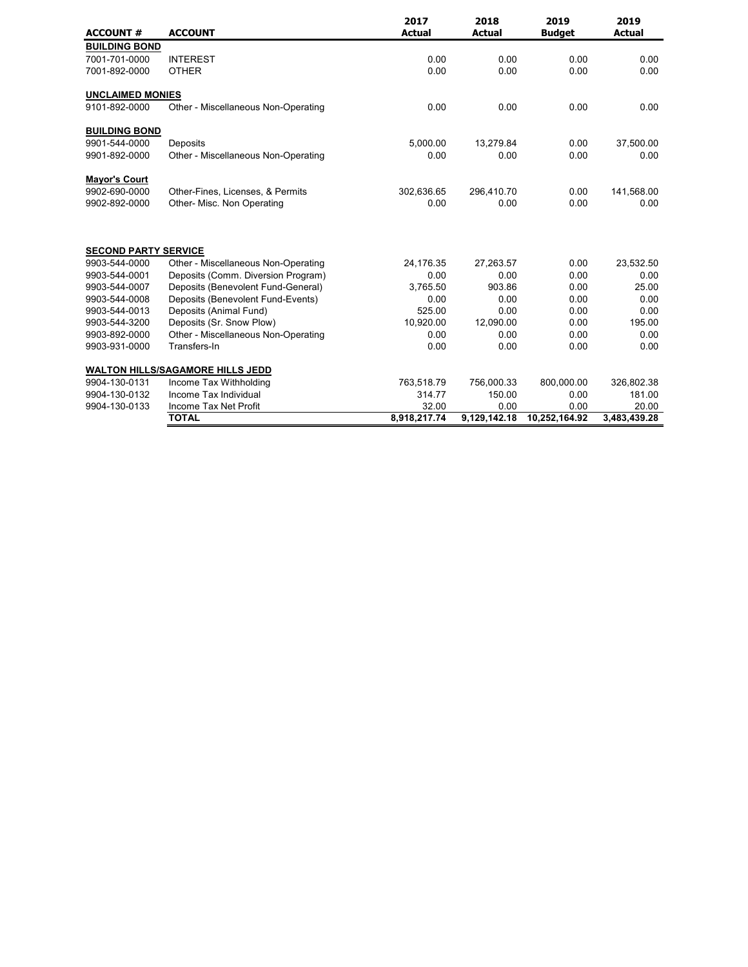| <b>ACCOUNT#</b>             | <b>ACCOUNT</b>                          | 2017<br><b>Actual</b> | 2018<br><b>Actual</b> | 2019<br><b>Budget</b> | 2019<br><b>Actual</b> |
|-----------------------------|-----------------------------------------|-----------------------|-----------------------|-----------------------|-----------------------|
| <b>BUILDING BOND</b>        |                                         |                       |                       |                       |                       |
| 7001-701-0000               | <b>INTEREST</b>                         | 0.00                  | 0.00                  | 0.00                  | 0.00                  |
| 7001-892-0000               | <b>OTHER</b>                            | 0.00                  | 0.00                  | 0.00                  | 0.00                  |
| <b>UNCLAIMED MONIES</b>     |                                         |                       |                       |                       |                       |
| 9101-892-0000               | Other - Miscellaneous Non-Operating     | 0.00                  | 0.00                  | 0.00                  | 0.00                  |
| <b>BUILDING BOND</b>        |                                         |                       |                       |                       |                       |
| 9901-544-0000               | Deposits                                | 5,000.00              | 13,279.84             | 0.00                  | 37,500.00             |
| 9901-892-0000               | Other - Miscellaneous Non-Operating     | 0.00                  | 0.00                  | 0.00                  | 0.00                  |
| <b>Mayor's Court</b>        |                                         |                       |                       |                       |                       |
| 9902-690-0000               | Other-Fines, Licenses, & Permits        | 302,636.65            | 296,410.70            | 0.00                  | 141,568.00            |
| 9902-892-0000               | Other- Misc. Non Operating              | 0.00                  | 0.00                  | 0.00                  | 0.00                  |
| <b>SECOND PARTY SERVICE</b> |                                         |                       |                       |                       |                       |
| 9903-544-0000               | Other - Miscellaneous Non-Operating     | 24,176.35             | 27,263.57             | 0.00                  | 23,532.50             |
| 9903-544-0001               | Deposits (Comm. Diversion Program)      | 0.00                  | 0.00                  | 0.00                  | 0.00                  |
| 9903-544-0007               | Deposits (Benevolent Fund-General)      | 3,765.50              | 903.86                | 0.00                  | 25.00                 |
| 9903-544-0008               | Deposits (Benevolent Fund-Events)       | 0.00                  | 0.00                  | 0.00                  | 0.00                  |
| 9903-544-0013               | Deposits (Animal Fund)                  | 525.00                | 0.00                  | 0.00                  | 0.00                  |
| 9903-544-3200               | Deposits (Sr. Snow Plow)                | 10,920.00             | 12,090.00             | 0.00                  | 195.00                |
| 9903-892-0000               | Other - Miscellaneous Non-Operating     | 0.00                  | 0.00                  | 0.00                  | 0.00                  |
| 9903-931-0000               | Transfers-In                            | 0.00                  | 0.00                  | 0.00                  | 0.00                  |
|                             | <b>WALTON HILLS/SAGAMORE HILLS JEDD</b> |                       |                       |                       |                       |
| 9904-130-0131               | Income Tax Withholding                  | 763,518.79            | 756,000.33            | 800,000.00            | 326,802.38            |
| 9904-130-0132               | Income Tax Individual                   | 314.77                | 150.00                | 0.00                  | 181.00                |
| 9904-130-0133               | Income Tax Net Profit                   | 32.00                 | 0.00                  | 0.00                  | 20.00                 |
|                             | <b>TOTAL</b>                            | 8,918,217.74          | 9,129,142.18          | 10,252,164.92         | 3,483,439.28          |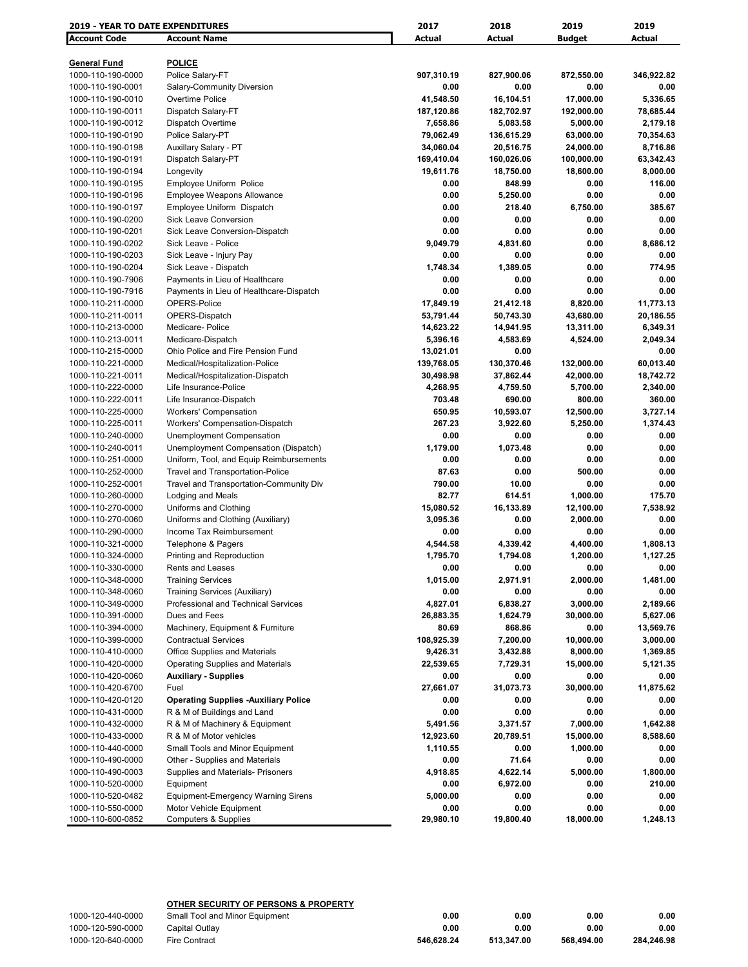| <b>2019 - YEAR TO DATE EXPENDITURES</b> |                                             | 2017       | 2018       | 2019          | 2019       |
|-----------------------------------------|---------------------------------------------|------------|------------|---------------|------------|
| <b>Account Code</b>                     | <b>Account Name</b>                         | Actual     | Actual     | <b>Budget</b> | Actual     |
|                                         |                                             |            |            |               |            |
| <b>General Fund</b>                     | <b>POLICE</b>                               |            |            |               |            |
| 1000-110-190-0000                       | Police Salary-FT                            | 907,310.19 | 827,900.06 | 872,550.00    | 346,922.82 |
| 1000-110-190-0001                       | Salary-Community Diversion                  | 0.00       | 0.00       | 0.00          | 0.00       |
| 1000-110-190-0010                       | Overtime Police                             | 41,548.50  | 16,104.51  | 17,000.00     | 5,336.65   |
| 1000-110-190-0011                       | Dispatch Salary-FT                          | 187,120.86 | 182,702.97 | 192,000.00    | 78,685.44  |
| 1000-110-190-0012                       | Dispatch Overtime                           | 7,658.86   | 5,083.58   | 5,000.00      | 2,179.18   |
| 1000-110-190-0190                       | Police Salary-PT                            | 79,062.49  | 136,615.29 | 63,000.00     | 70,354.63  |
| 1000-110-190-0198                       | Auxillary Salary - PT                       | 34,060.04  | 20,516.75  | 24,000.00     | 8,716.86   |
| 1000-110-190-0191                       | Dispatch Salary-PT                          | 169,410.04 | 160,026.06 | 100,000.00    | 63,342.43  |
| 1000-110-190-0194                       | Longevity                                   | 19,611.76  | 18,750.00  | 18,600.00     | 8,000.00   |
| 1000-110-190-0195                       | Employee Uniform Police                     | 0.00       | 848.99     | 0.00          | 116.00     |
| 1000-110-190-0196                       | <b>Employee Weapons Allowance</b>           | 0.00       | 5,250.00   | 0.00          | 0.00       |
| 1000-110-190-0197                       | Employee Uniform Dispatch                   | 0.00       | 218.40     | 6,750.00      | 385.67     |
| 1000-110-190-0200                       | <b>Sick Leave Conversion</b>                | 0.00       | 0.00       | 0.00          | 0.00       |
| 1000-110-190-0201                       | Sick Leave Conversion-Dispatch              | 0.00       | 0.00       | 0.00          | 0.00       |
| 1000-110-190-0202                       | Sick Leave - Police                         | 9,049.79   | 4,831.60   | 0.00          | 8,686.12   |
| 1000-110-190-0203                       | Sick Leave - Injury Pay                     | 0.00       | 0.00       | 0.00          | 0.00       |
| 1000-110-190-0204                       | Sick Leave - Dispatch                       | 1,748.34   | 1,389.05   | 0.00          | 774.95     |
| 1000-110-190-7906                       | Payments in Lieu of Healthcare              | 0.00       | 0.00       | 0.00          | 0.00       |
| 1000-110-190-7916                       | Payments in Lieu of Healthcare-Dispatch     | 0.00       | 0.00       | 0.00          | 0.00       |
| 1000-110-211-0000                       | OPERS-Police                                | 17,849.19  | 21,412.18  | 8,820.00      | 11,773.13  |
| 1000-110-211-0011                       | OPERS-Dispatch                              | 53,791.44  | 50,743.30  | 43,680.00     | 20,186.55  |
| 1000-110-213-0000                       | Medicare-Police                             | 14,623.22  | 14,941.95  | 13,311.00     | 6,349.31   |
| 1000-110-213-0011                       | Medicare-Dispatch                           | 5,396.16   | 4,583.69   | 4,524.00      | 2,049.34   |
| 1000-110-215-0000                       | Ohio Police and Fire Pension Fund           | 13,021.01  | 0.00       |               | 0.00       |
| 1000-110-221-0000                       | Medical/Hospitalization-Police              | 139,768.05 | 130,370.46 | 132,000.00    | 60,013.40  |
|                                         |                                             |            |            |               |            |
| 1000-110-221-0011                       | Medical/Hospitalization-Dispatch            | 30,498.98  | 37,862.44  | 42,000.00     | 18,742.72  |
| 1000-110-222-0000                       | Life Insurance-Police                       | 4,268.95   | 4,759.50   | 5,700.00      | 2,340.00   |
| 1000-110-222-0011                       | Life Insurance-Dispatch                     | 703.48     | 690.00     | 800.00        | 360.00     |
| 1000-110-225-0000                       | <b>Workers' Compensation</b>                | 650.95     | 10,593.07  | 12,500.00     | 3,727.14   |
| 1000-110-225-0011                       | Workers' Compensation-Dispatch              | 267.23     | 3,922.60   | 5,250.00      | 1,374.43   |
| 1000-110-240-0000                       | Unemployment Compensation                   | 0.00       | 0.00       | 0.00          | 0.00       |
| 1000-110-240-0011                       | Unemployment Compensation (Dispatch)        | 1,179.00   | 1,073.48   | 0.00          | 0.00       |
| 1000-110-251-0000                       | Uniform, Tool, and Equip Reimbursements     | 0.00       | 0.00       | 0.00          | 0.00       |
| 1000-110-252-0000                       | Travel and Transportation-Police            | 87.63      | 0.00       | 500.00        | 0.00       |
| 1000-110-252-0001                       | Travel and Transportation-Community Div     | 790.00     | 10.00      | 0.00          | 0.00       |
| 1000-110-260-0000                       | Lodging and Meals                           | 82.77      | 614.51     | 1,000.00      | 175.70     |
| 1000-110-270-0000                       | Uniforms and Clothing                       | 15,080.52  | 16,133.89  | 12,100.00     | 7,538.92   |
| 1000-110-270-0060                       | Uniforms and Clothing (Auxiliary)           | 3,095.36   | 0.00       | 2,000.00      | 0.00       |
| 1000-110-290-0000                       | Income Tax Reimbursement                    | 0.00       | 0.00       | 0.00          | 0.00       |
| 1000-110-321-0000                       | Telephone & Pagers                          | 4,544.58   | 4,339.42   | 4,400.00      | 1,808.13   |
| 1000-110-324-0000                       | Printing and Reproduction                   | 1,795.70   | 1,794.08   | 1,200.00      | 1,127.25   |
| 1000-110-330-0000                       | Rents and Leases                            | 0.00       | 0.00       | 0.00          | 0.00       |
| 1000-110-348-0000                       | <b>Training Services</b>                    | 1,015.00   | 2,971.91   | 2,000.00      | 1,481.00   |
| 1000-110-348-0060                       | Training Services (Auxiliary)               | 0.00       | 0.00       | 0.00          | 0.00       |
| 1000-110-349-0000                       | Professional and Technical Services         | 4,827.01   | 6,838.27   | 3,000.00      | 2,189.66   |
| 1000-110-391-0000                       | Dues and Fees                               | 26,883.35  | 1,624.79   | 30,000.00     | 5,627.06   |
| 1000-110-394-0000                       | Machinery, Equipment & Furniture            | 80.69      | 868.86     | 0.00          | 13,569.76  |
| 1000-110-399-0000                       | <b>Contractual Services</b>                 | 108,925.39 | 7,200.00   | 10,000.00     | 3,000.00   |
| 1000-110-410-0000                       | Office Supplies and Materials               | 9,426.31   | 3,432.88   | 8,000.00      | 1,369.85   |
| 1000-110-420-0000                       | Operating Supplies and Materials            | 22,539.65  | 7,729.31   | 15,000.00     | 5,121.35   |
| 1000-110-420-0060                       | <b>Auxiliary - Supplies</b>                 | 0.00       | 0.00       | 0.00          | 0.00       |
| 1000-110-420-6700                       | Fuel                                        | 27,661.07  | 31,073.73  | 30,000.00     | 11,875.62  |
| 1000-110-420-0120                       | <b>Operating Supplies -Auxiliary Police</b> | 0.00       | 0.00       | 0.00          | 0.00       |
| 1000-110-431-0000                       | R & M of Buildings and Land                 | 0.00       | 0.00       | 0.00          | 0.00       |
| 1000-110-432-0000                       | R & M of Machinery & Equipment              | 5,491.56   | 3,371.57   | 7,000.00      | 1,642.88   |
| 1000-110-433-0000                       | R & M of Motor vehicles                     | 12,923.60  | 20,789.51  | 15,000.00     | 8,588.60   |
| 1000-110-440-0000                       | Small Tools and Minor Equipment             | 1,110.55   | 0.00       | 1,000.00      | 0.00       |
| 1000-110-490-0000                       | Other - Supplies and Materials              | 0.00       | 71.64      | 0.00          | 0.00       |
| 1000-110-490-0003                       | Supplies and Materials- Prisoners           | 4,918.85   | 4,622.14   | 5,000.00      | 1,800.00   |
| 1000-110-520-0000                       | Equipment                                   | 0.00       | 6,972.00   | 0.00          | 210.00     |
| 1000-110-520-0482                       | <b>Equipment-Emergency Warning Sirens</b>   | 5,000.00   | 0.00       | 0.00          | 0.00       |
| 1000-110-550-0000                       | Motor Vehicle Equipment                     | 0.00       | 0.00       | 0.00          | 0.00       |
| 1000-110-600-0852                       | <b>Computers &amp; Supplies</b>             | 29,980.10  | 19,800.40  | 18,000.00     | 1,248.13   |
|                                         |                                             |            |            |               |            |

## **OTHER SECURITY OF PERSONS & PROPERTY**

| 1000-120-440-0000 | Small Tool and Minor Equipment | 0.00       | 0.00       | 0.00       | 0.00       |
|-------------------|--------------------------------|------------|------------|------------|------------|
| 1000-120-590-0000 | Capital Outlay                 | 0.00       | 0.00       | 0.00       | 0.00       |
| 1000-120-640-0000 | <b>Fire Contract</b>           | 546.628.24 | 513.347.00 | 568.494.00 | 284.246.98 |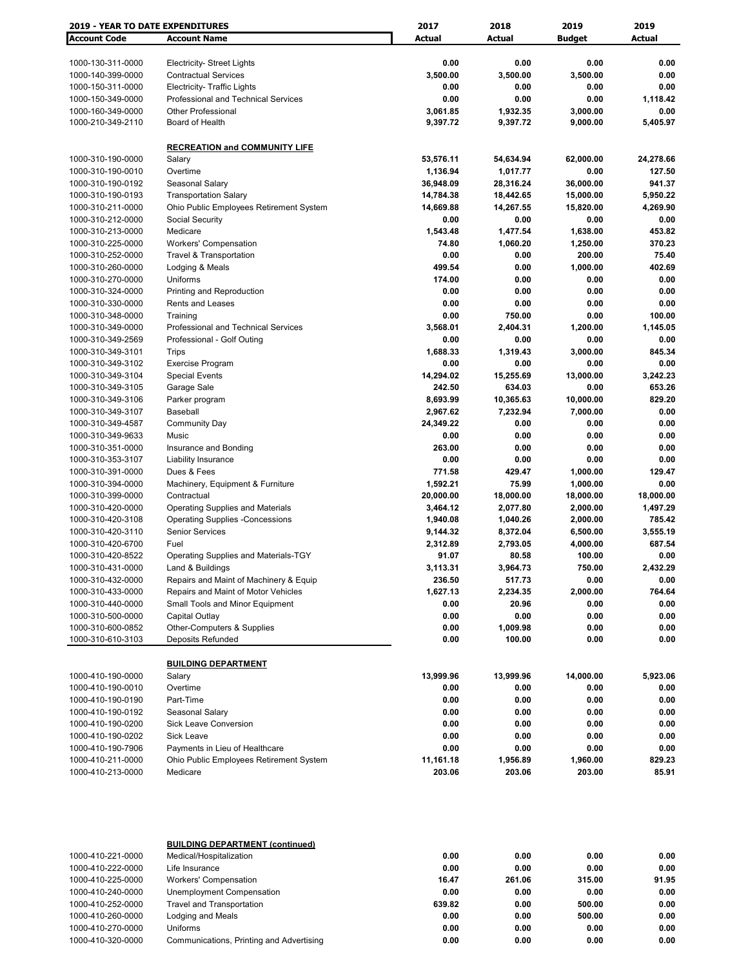| 2019 - YEAR TO DATE EXPENDITURES       |                                                                         | 2017                   | 2018                   | 2019                   | 2019               |
|----------------------------------------|-------------------------------------------------------------------------|------------------------|------------------------|------------------------|--------------------|
| <b>Account Code</b>                    | <b>Account Name</b>                                                     | Actual                 | Actual                 | <b>Budget</b>          | <b>Actual</b>      |
|                                        |                                                                         |                        |                        |                        |                    |
| 1000-130-311-0000                      | <b>Electricity- Street Lights</b>                                       | 0.00                   | 0.00                   | 0.00                   | 0.00               |
| 1000-140-399-0000                      | <b>Contractual Services</b>                                             | 3,500.00               | 3,500.00               | 3,500.00               | 0.00               |
| 1000-150-311-0000                      | <b>Electricity- Traffic Lights</b>                                      | 0.00                   | 0.00                   | 0.00                   | 0.00               |
| 1000-150-349-0000                      | <b>Professional and Technical Services</b>                              | 0.00                   | 0.00                   | 0.00                   | 1,118.42           |
| 1000-160-349-0000                      | <b>Other Professional</b>                                               | 3,061.85               | 1,932.35               | 3,000.00               | 0.00               |
| 1000-210-349-2110                      | Board of Health                                                         | 9,397.72               | 9,397.72               | 9,000.00               | 5,405.97           |
|                                        |                                                                         |                        |                        |                        |                    |
|                                        | <b>RECREATION and COMMUNITY LIFE</b>                                    |                        |                        |                        |                    |
| 1000-310-190-0000                      | Salary                                                                  | 53,576.11              | 54,634.94              | 62,000.00              | 24,278.66          |
| 1000-310-190-0010                      | Overtime                                                                | 1,136.94               | 1,017.77               | 0.00                   | 127.50             |
| 1000-310-190-0192<br>1000-310-190-0193 | Seasonal Salary                                                         | 36,948.09<br>14,784.38 | 28,316.24<br>18,442.65 | 36,000.00<br>15,000.00 | 941.37<br>5,950.22 |
| 1000-310-211-0000                      | <b>Transportation Salary</b><br>Ohio Public Employees Retirement System | 14,669.88              | 14,267.55              | 15,820.00              | 4,269.90           |
| 1000-310-212-0000                      | Social Security                                                         | 0.00                   | 0.00                   | 0.00                   | 0.00               |
| 1000-310-213-0000                      | Medicare                                                                | 1,543.48               | 1,477.54               | 1,638.00               | 453.82             |
| 1000-310-225-0000                      | <b>Workers' Compensation</b>                                            | 74.80                  | 1,060.20               | 1,250.00               | 370.23             |
| 1000-310-252-0000                      | <b>Travel &amp; Transportation</b>                                      | 0.00                   | 0.00                   | 200.00                 | 75.40              |
| 1000-310-260-0000                      | Lodging & Meals                                                         | 499.54                 | 0.00                   | 1,000.00               | 402.69             |
| 1000-310-270-0000                      | Uniforms                                                                | 174.00                 | 0.00                   | 0.00                   | 0.00               |
| 1000-310-324-0000                      | Printing and Reproduction                                               | 0.00                   | 0.00                   | 0.00                   | 0.00               |
| 1000-310-330-0000                      | Rents and Leases                                                        | 0.00                   | 0.00                   | 0.00                   | 0.00               |
| 1000-310-348-0000                      | Training                                                                | 0.00                   | 750.00                 | 0.00                   | 100.00             |
| 1000-310-349-0000                      | Professional and Technical Services                                     | 3,568.01               | 2,404.31               | 1,200.00               | 1,145.05           |
| 1000-310-349-2569                      | Professional - Golf Outing                                              | 0.00                   | 0.00                   | 0.00                   | 0.00               |
| 1000-310-349-3101                      | Trips                                                                   | 1,688.33               | 1,319.43               | 3,000.00               | 845.34             |
| 1000-310-349-3102                      | <b>Exercise Program</b>                                                 | 0.00                   | 0.00                   | 0.00                   | 0.00               |
| 1000-310-349-3104                      | <b>Special Events</b>                                                   | 14,294.02              | 15,255.69              | 13,000.00              | 3,242.23           |
| 1000-310-349-3105                      | Garage Sale                                                             | 242.50                 | 634.03                 | 0.00                   | 653.26             |
| 1000-310-349-3106                      | Parker program                                                          | 8,693.99               | 10,365.63              | 10,000.00              | 829.20             |
| 1000-310-349-3107                      | <b>Baseball</b>                                                         | 2,967.62               | 7,232.94               | 7,000.00               | 0.00               |
| 1000-310-349-4587                      | <b>Community Day</b>                                                    | 24,349.22              | 0.00                   | 0.00                   | 0.00               |
| 1000-310-349-9633                      | Music                                                                   | 0.00                   | 0.00                   | 0.00                   | 0.00               |
| 1000-310-351-0000                      | Insurance and Bonding                                                   | 263.00                 | 0.00                   | 0.00                   | 0.00               |
| 1000-310-353-3107                      | Liability Insurance                                                     | 0.00                   | 0.00                   | 0.00                   | 0.00               |
| 1000-310-391-0000                      | Dues & Fees                                                             | 771.58                 | 429.47<br>75.99        | 1,000.00               | 129.47<br>0.00     |
| 1000-310-394-0000<br>1000-310-399-0000 | Machinery, Equipment & Furniture<br>Contractual                         | 1,592.21<br>20,000.00  | 18,000.00              | 1,000.00<br>18,000.00  | 18,000.00          |
| 1000-310-420-0000                      | <b>Operating Supplies and Materials</b>                                 | 3,464.12               | 2,077.80               | 2,000.00               | 1,497.29           |
| 1000-310-420-3108                      | <b>Operating Supplies -Concessions</b>                                  | 1,940.08               | 1,040.26               | 2,000.00               | 785.42             |
| 1000-310-420-3110                      | <b>Senior Services</b>                                                  | 9,144.32               | 8,372.04               | 6,500.00               | 3,555.19           |
| 1000-310-420-6700                      | Fuel                                                                    | 2,312.89               | 2,793.05               | 4,000.00               | 687.54             |
| 1000-310-420-8522                      | Operating Supplies and Materials-TGY                                    | 91.07                  | 80.58                  | 100.00                 | 0.00               |
| 1000-310-431-0000                      | Land & Buildings                                                        | 3,113.31               | 3,964.73               | 750.00                 | 2,432.29           |
| 1000-310-432-0000                      | Repairs and Maint of Machinery & Equip                                  | 236.50                 | 517.73                 | 0.00                   | 0.00               |
| 1000-310-433-0000                      | Repairs and Maint of Motor Vehicles                                     | 1,627.13               | 2,234.35               | 2,000.00               | 764.64             |
| 1000-310-440-0000                      | Small Tools and Minor Equipment                                         | 0.00                   | 20.96                  | 0.00                   | 0.00               |
| 1000-310-500-0000                      | Capital Outlay                                                          | 0.00                   | 0.00                   | 0.00                   | 0.00               |
| 1000-310-600-0852                      | Other-Computers & Supplies                                              | 0.00                   | 1,009.98               | 0.00                   | 0.00               |
| 1000-310-610-3103                      | Deposits Refunded                                                       | 0.00                   | 100.00                 | 0.00                   | 0.00               |
|                                        |                                                                         |                        |                        |                        |                    |
|                                        | <b>BUILDING DEPARTMENT</b>                                              |                        |                        |                        |                    |
| 1000-410-190-0000                      | Salary                                                                  | 13,999.96              | 13,999.96              | 14,000.00              | 5,923.06           |
| 1000-410-190-0010                      | Overtime                                                                | 0.00                   | 0.00                   | 0.00                   | 0.00               |
| 1000-410-190-0190                      | Part-Time                                                               | 0.00                   | 0.00                   | 0.00                   | 0.00               |
| 1000-410-190-0192                      | Seasonal Salary                                                         | 0.00                   | 0.00                   | 0.00                   | 0.00               |
| 1000-410-190-0200                      | Sick Leave Conversion                                                   | 0.00                   | 0.00                   | 0.00                   | 0.00               |
| 1000-410-190-0202                      | <b>Sick Leave</b>                                                       | 0.00                   | 0.00                   | 0.00                   | 0.00               |
| 1000-410-190-7906                      | Payments in Lieu of Healthcare                                          | 0.00                   | 0.00                   | 0.00                   | 0.00               |
| 1000-410-211-0000                      | Ohio Public Employees Retirement System                                 | 11,161.18              | 1,956.89               | 1,960.00               | 829.23             |
| 1000-410-213-0000                      | Medicare                                                                | 203.06                 | 203.06                 | 203.00                 | 85.91              |
|                                        |                                                                         |                        |                        |                        |                    |
|                                        | <b>BUILDING DEPARTMENT (continued)</b>                                  |                        |                        |                        |                    |
| 1000-410-221-0000                      | Medical/Hospitalization                                                 | 0.00                   | 0.00                   | 0.00                   | 0.00               |
| 1000-410-222-0000                      | Life Insurance                                                          | 0.00                   | 0.00                   | 0.00                   | 0.00               |
| 1000-410-225-0000                      | <b>Workers' Compensation</b>                                            | 16.47                  | 261.06                 | 315.00                 | 91.95              |
| 1000-410-240-0000                      | Unemployment Compensation                                               | 0.00                   | 0.00                   | 0.00                   | 0.00               |
| 1000-410-252-0000                      | <b>Travel and Transportation</b>                                        | 639.82                 | 0.00                   | 500.00                 | 0.00               |
| 1000-410-260-0000                      | Lodging and Meals                                                       | 0.00                   | 0.00                   | 500.00                 | 0.00               |

1000-410-270-0000 Uniforms **0.00 0.00 0.00 0.00** 1000-410-320-0000 Communications, Printing and Advertising **0.00 0.00 0.00 0.00**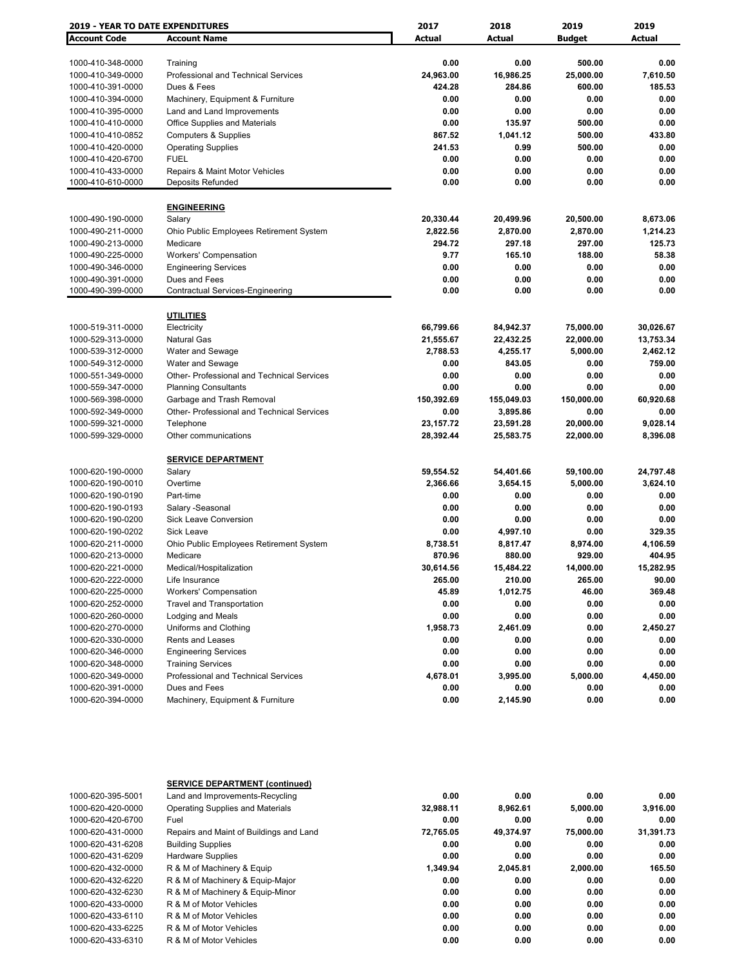| <b>2019 - YEAR TO DATE EXPENDITURES</b> |                                                   | 2017         | 2018          | 2019          | 2019         |  |
|-----------------------------------------|---------------------------------------------------|--------------|---------------|---------------|--------------|--|
| <b>Account Code</b>                     | <b>Account Name</b>                               | Actual       | <b>Actual</b> | <b>Budget</b> | Actual       |  |
|                                         |                                                   |              |               |               |              |  |
| 1000-410-348-0000                       | Training                                          | 0.00         | 0.00          | 500.00        | 0.00         |  |
| 1000-410-349-0000                       | <b>Professional and Technical Services</b>        | 24,963.00    | 16,986.25     | 25,000.00     | 7,610.50     |  |
| 1000-410-391-0000                       | Dues & Fees                                       | 424.28       | 284.86        | 600.00        | 185.53       |  |
| 1000-410-394-0000                       | Machinery, Equipment & Furniture                  | 0.00         | 0.00          | 0.00          | 0.00         |  |
| 1000-410-395-0000                       | Land and Land Improvements                        | 0.00         | 0.00          | 0.00          | 0.00         |  |
| 1000-410-410-0000                       | <b>Office Supplies and Materials</b>              | 0.00         | 135.97        | 500.00        | 0.00         |  |
| 1000-410-410-0852                       | <b>Computers &amp; Supplies</b>                   | 867.52       | 1,041.12      | 500.00        | 433.80       |  |
| 1000-410-420-0000                       | <b>Operating Supplies</b>                         | 241.53       | 0.99          | 500.00        | 0.00         |  |
| 1000-410-420-6700                       | <b>FUEL</b>                                       | 0.00         | 0.00          | 0.00          | 0.00         |  |
| 1000-410-433-0000                       | <b>Repairs &amp; Maint Motor Vehicles</b>         | 0.00         | 0.00          | 0.00          | 0.00         |  |
| 1000-410-610-0000                       | <b>Deposits Refunded</b>                          | 0.00         | 0.00          | 0.00          | 0.00         |  |
|                                         | <b>ENGINEERING</b>                                |              |               |               |              |  |
| 1000-490-190-0000                       | Salary                                            | 20,330.44    | 20,499.96     | 20,500.00     | 8,673.06     |  |
| 1000-490-211-0000                       | Ohio Public Employees Retirement System           | 2,822.56     | 2,870.00      | 2,870.00      | 1,214.23     |  |
| 1000-490-213-0000                       | Medicare                                          | 294.72       | 297.18        | 297.00        | 125.73       |  |
| 1000-490-225-0000                       | <b>Workers' Compensation</b>                      | 9.77         | 165.10        | 188.00        | 58.38        |  |
| 1000-490-346-0000                       |                                                   | 0.00         | 0.00          | 0.00          | 0.00         |  |
| 1000-490-391-0000                       | <b>Engineering Services</b><br>Dues and Fees      |              | 0.00          | 0.00          |              |  |
|                                         | Contractual Services-Engineering                  | 0.00<br>0.00 | 0.00          | 0.00          | 0.00<br>0.00 |  |
| 1000-490-399-0000                       |                                                   |              |               |               |              |  |
|                                         | <b>UTILITIES</b>                                  |              |               |               |              |  |
| 1000-519-311-0000                       | Electricity                                       | 66,799.66    | 84,942.37     | 75,000.00     | 30,026.67    |  |
| 1000-529-313-0000                       | Natural Gas                                       | 21,555.67    | 22,432.25     | 22,000.00     | 13,753.34    |  |
| 1000-539-312-0000                       | Water and Sewage                                  | 2,788.53     | 4,255.17      | 5,000.00      | 2,462.12     |  |
| 1000-549-312-0000                       | Water and Sewage                                  | 0.00         | 843.05        | 0.00          | 759.00       |  |
| 1000-551-349-0000                       | Other- Professional and Technical Services        | 0.00         | 0.00          | 0.00          | 0.00         |  |
| 1000-559-347-0000                       | <b>Planning Consultants</b>                       | 0.00         | 0.00          | 0.00          | 0.00         |  |
| 1000-569-398-0000                       | Garbage and Trash Removal                         | 150,392.69   | 155,049.03    | 150,000.00    | 60,920.68    |  |
| 1000-592-349-0000                       | <b>Other- Professional and Technical Services</b> | 0.00         | 3,895.86      | 0.00          | 0.00         |  |
| 1000-599-321-0000                       | Telephone                                         | 23,157.72    | 23,591.28     | 20,000.00     | 9,028.14     |  |
| 1000-599-329-0000                       | Other communications                              | 28,392.44    | 25,583.75     | 22,000.00     | 8,396.08     |  |
|                                         |                                                   |              |               |               |              |  |
|                                         | <b>SERVICE DEPARTMENT</b>                         |              |               |               |              |  |
| 1000-620-190-0000                       | Salary                                            | 59,554.52    | 54,401.66     | 59,100.00     | 24,797.48    |  |
| 1000-620-190-0010                       | Overtime                                          | 2,366.66     | 3,654.15      | 5,000.00      | 3,624.10     |  |
| 1000-620-190-0190                       | Part-time                                         | 0.00         | 0.00          | 0.00          | 0.00         |  |
| 1000-620-190-0193                       | Salary -Seasonal                                  | 0.00         | 0.00          | 0.00          | 0.00         |  |
| 1000-620-190-0200                       | <b>Sick Leave Conversion</b>                      | 0.00         | 0.00          | 0.00          | 0.00         |  |
| 1000-620-190-0202                       | Sick Leave                                        | 0.00         | 4,997.10      | 0.00          | 329.35       |  |
| 1000-620-211-0000                       | Ohio Public Employees Retirement System           | 8,738.51     | 8,817.47      | 8,974.00      | 4,106.59     |  |
| 1000-620-213-0000                       | Medicare                                          | 870.96       | 880.00        | 929.00        | 404.95       |  |
| 1000-620-221-0000                       | Medical/Hospitalization                           | 30,614.56    | 15,484.22     | 14,000.00     | 15,282.95    |  |
| 1000-620-222-0000                       | Life Insurance                                    | 265.00       | 210.00        | 265.00        | 90.00        |  |
| 1000-620-225-0000                       | <b>Workers' Compensation</b>                      | 45.89        | 1,012.75      | 46.00         | 369.48       |  |
| 1000-620-252-0000                       | <b>Travel and Transportation</b>                  | 0.00         | 0.00          | 0.00          | 0.00         |  |
| 1000-620-260-0000                       | Lodging and Meals                                 | 0.00         | 0.00          | 0.00          | 0.00         |  |
| 1000-620-270-0000                       | Uniforms and Clothing                             | 1,958.73     | 2,461.09      | 0.00          | 2,450.27     |  |
| 1000-620-330-0000                       | Rents and Leases                                  | 0.00         | 0.00          | 0.00          | 0.00         |  |
| 1000-620-346-0000                       | <b>Engineering Services</b>                       | 0.00         | 0.00          | 0.00          | 0.00         |  |
| 1000-620-348-0000                       | <b>Training Services</b>                          | 0.00         | 0.00          | 0.00          | 0.00         |  |
| 1000-620-349-0000                       | Professional and Technical Services               | 4,678.01     | 3,995.00      | 5,000.00      | 4,450.00     |  |
| 1000-620-391-0000                       | Dues and Fees                                     | 0.00         | 0.00          | 0.00          | 0.00         |  |
| 1000-620-394-0000                       | Machinery, Equipment & Furniture                  | 0.00         | 2,145.90      | 0.00          | 0.00         |  |
|                                         |                                                   |              |               |               |              |  |

|                   | <b>SERVICE DEPARTMENT (continued)</b>   |           |           |           |           |
|-------------------|-----------------------------------------|-----------|-----------|-----------|-----------|
| 1000-620-395-5001 | Land and Improvements-Recycling         | 0.00      | 0.00      | 0.00      | 0.00      |
| 1000-620-420-0000 | <b>Operating Supplies and Materials</b> | 32,988.11 | 8.962.61  | 5,000.00  | 3,916.00  |
| 1000-620-420-6700 | Fuel                                    | 0.00      | 0.00      | 0.00      | 0.00      |
| 1000-620-431-0000 | Repairs and Maint of Buildings and Land | 72.765.05 | 49.374.97 | 75.000.00 | 31,391.73 |
| 1000-620-431-6208 | <b>Building Supplies</b>                | 0.00      | 0.00      | 0.00      | 0.00      |
| 1000-620-431-6209 | <b>Hardware Supplies</b>                | 0.00      | 0.00      | 0.00      | 0.00      |
| 1000-620-432-0000 | R & M of Machinery & Equip              | 1.349.94  | 2.045.81  | 2.000.00  | 165.50    |
| 1000-620-432-6220 | R & M of Machinery & Equip-Major        | 0.00      | 0.00      | 0.00      | 0.00      |
| 1000-620-432-6230 | R & M of Machinery & Equip-Minor        | 0.00      | 0.00      | 0.00      | 0.00      |
| 1000-620-433-0000 | R & M of Motor Vehicles                 | 0.00      | 0.00      | 0.00      | 0.00      |
| 1000-620-433-6110 | R & M of Motor Vehicles                 | 0.00      | 0.00      | 0.00      | 0.00      |
| 1000-620-433-6225 | R & M of Motor Vehicles                 | 0.00      | 0.00      | 0.00      | 0.00      |
| 1000-620-433-6310 | R & M of Motor Vehicles                 | 0.00      | 0.00      | 0.00      | 0.00      |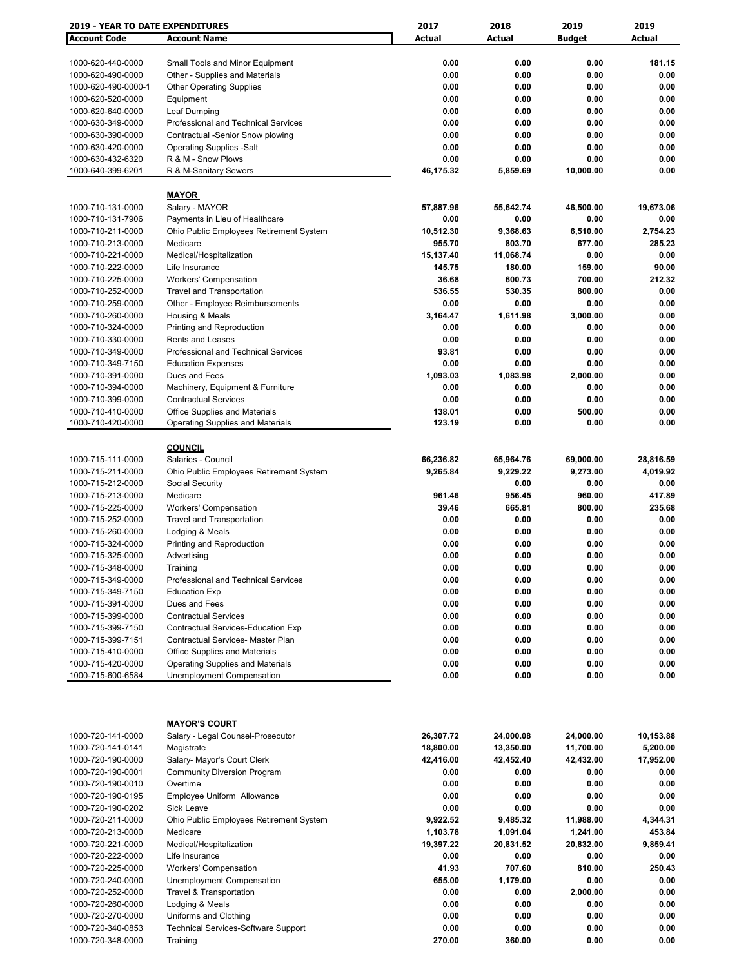| <b>2019 - YEAR TO DATE EXPENDITURES</b> |                                            | 2017          | 2018          | 2019          | 2019      |
|-----------------------------------------|--------------------------------------------|---------------|---------------|---------------|-----------|
| <b>Account Code</b>                     | <b>Account Name</b>                        | <b>Actual</b> | <b>Actual</b> | <b>Budget</b> | Actual    |
|                                         |                                            |               |               |               |           |
| 1000-620-440-0000                       | Small Tools and Minor Equipment            | 0.00          | 0.00          | 0.00          | 181.15    |
| 1000-620-490-0000                       | Other - Supplies and Materials             | 0.00          | 0.00          | 0.00          | 0.00      |
|                                         |                                            | 0.00          | 0.00          | 0.00          | 0.00      |
| 1000-620-490-0000-1                     | <b>Other Operating Supplies</b>            |               |               |               |           |
| 1000-620-520-0000                       | Equipment                                  | 0.00          | 0.00          | 0.00          | 0.00      |
| 1000-620-640-0000                       | Leaf Dumping                               | 0.00          | 0.00          | 0.00          | 0.00      |
| 1000-630-349-0000                       | Professional and Technical Services        | 0.00          | 0.00          | 0.00          | 0.00      |
| 1000-630-390-0000                       | Contractual -Senior Snow plowing           | 0.00          | 0.00          | 0.00          | 0.00      |
| 1000-630-420-0000                       | <b>Operating Supplies -Salt</b>            | 0.00          | 0.00          | 0.00          | 0.00      |
| 1000-630-432-6320                       | R & M - Snow Plows                         | 0.00          | 0.00          | 0.00          | 0.00      |
| 1000-640-399-6201                       | R & M-Sanitary Sewers                      | 46,175.32     | 5,859.69      | 10,000.00     | 0.00      |
|                                         |                                            |               |               |               |           |
|                                         | <u>MAYOR</u>                               |               |               |               |           |
| 1000-710-131-0000                       | Salary - MAYOR                             | 57,887.96     | 55,642.74     | 46,500.00     | 19,673.06 |
| 1000-710-131-7906                       | Payments in Lieu of Healthcare             | 0.00          | 0.00          | 0.00          | 0.00      |
| 1000-710-211-0000                       | Ohio Public Employees Retirement System    | 10,512.30     | 9,368.63      | 6,510.00      | 2,754.23  |
| 1000-710-213-0000                       | Medicare                                   | 955.70        | 803.70        | 677.00        | 285.23    |
|                                         |                                            |               |               |               |           |
| 1000-710-221-0000                       | Medical/Hospitalization                    | 15,137.40     | 11,068.74     | 0.00          | 0.00      |
| 1000-710-222-0000                       | Life Insurance                             | 145.75        | 180.00        | 159.00        | 90.00     |
| 1000-710-225-0000                       | <b>Workers' Compensation</b>               | 36.68         | 600.73        | 700.00        | 212.32    |
| 1000-710-252-0000                       | <b>Travel and Transportation</b>           | 536.55        | 530.35        | 800.00        | 0.00      |
| 1000-710-259-0000                       | Other - Employee Reimbursements            | 0.00          | 0.00          | 0.00          | 0.00      |
| 1000-710-260-0000                       | Housing & Meals                            | 3,164.47      | 1,611.98      | 3,000.00      | 0.00      |
| 1000-710-324-0000                       | Printing and Reproduction                  | 0.00          | 0.00          | 0.00          | 0.00      |
| 1000-710-330-0000                       | Rents and Leases                           | 0.00          | 0.00          | 0.00          | 0.00      |
| 1000-710-349-0000                       | <b>Professional and Technical Services</b> | 93.81         | 0.00          | 0.00          | 0.00      |
| 1000-710-349-7150                       | <b>Education Expenses</b>                  | 0.00          | 0.00          | 0.00          | 0.00      |
| 1000-710-391-0000                       | Dues and Fees                              | 1,093.03      | 1,083.98      | 2,000.00      | 0.00      |
|                                         |                                            | 0.00          | 0.00          | 0.00          | 0.00      |
| 1000-710-394-0000                       | Machinery, Equipment & Furniture           |               |               |               |           |
| 1000-710-399-0000                       | <b>Contractual Services</b>                | 0.00          | 0.00          | 0.00          | 0.00      |
| 1000-710-410-0000                       | <b>Office Supplies and Materials</b>       | 138.01        | 0.00          | 500.00        | 0.00      |
| 1000-710-420-0000                       | <b>Operating Supplies and Materials</b>    | 123.19        | 0.00          | 0.00          | 0.00      |
|                                         |                                            |               |               |               |           |
|                                         | <b>COUNCIL</b>                             |               |               |               |           |
| 1000-715-111-0000                       | Salaries - Council                         | 66,236.82     | 65,964.76     | 69,000.00     | 28,816.59 |
| 1000-715-211-0000                       | Ohio Public Employees Retirement System    | 9,265.84      | 9,229.22      | 9,273.00      | 4,019.92  |
| 1000-715-212-0000                       | Social Security                            |               | 0.00          | 0.00          | 0.00      |
| 1000-715-213-0000                       | Medicare                                   | 961.46        | 956.45        | 960.00        | 417.89    |
| 1000-715-225-0000                       | <b>Workers' Compensation</b>               | 39.46         | 665.81        | 800.00        | 235.68    |
| 1000-715-252-0000                       | <b>Travel and Transportation</b>           | 0.00          | 0.00          | 0.00          | 0.00      |
| 1000-715-260-0000                       | Lodging & Meals                            | 0.00          | 0.00          | 0.00          | 0.00      |
| 1000-715-324-0000                       | Printing and Reproduction                  | 0.00          | 0.00          | 0.00          | 0.00      |
|                                         |                                            | 0.00          | 0.00          | 0.00          | 0.00      |
| 1000-715-325-0000                       | Advertising                                |               |               |               |           |
| 1000-715-348-0000                       | Training                                   | 0.00          | 0.00          | 0.00          | 0.00      |
| 1000-715-349-0000                       | Professional and Technical Services        | 0.00          | 0.00          | 0.00          | 0.00      |
| 1000-715-349-7150                       | <b>Education Exp</b>                       | 0.00          | 0.00          | 0.00          | 0.00      |
| 1000-715-391-0000                       | Dues and Fees                              | 0.00          | 0.00          | 0.00          | 0.00      |
| 1000-715-399-0000                       | <b>Contractual Services</b>                | 0.00          | 0.00          | 0.00          | 0.00      |
| 1000-715-399-7150                       | Contractual Services-Education Exp         | 0.00          | 0.00          | 0.00          | 0.00      |
| 1000-715-399-7151                       | <b>Contractual Services- Master Plan</b>   | 0.00          | 0.00          | 0.00          | 0.00      |
| 1000-715-410-0000                       | <b>Office Supplies and Materials</b>       | 0.00          | 0.00          | 0.00          | 0.00      |
| 1000-715-420-0000                       | <b>Operating Supplies and Materials</b>    | 0.00          | 0.00          | 0.00          | 0.00      |
| 1000-715-600-6584                       | <b>Unemployment Compensation</b>           | 0.00          | 0.00          | 0.00          | 0.00      |
|                                         |                                            |               |               |               |           |
|                                         |                                            |               |               |               |           |
|                                         |                                            |               |               |               |           |
|                                         | <b>MAYOR'S COURT</b>                       |               |               |               |           |
|                                         |                                            |               |               |               |           |
| 1000-720-141-0000                       | Salary - Legal Counsel-Prosecutor          | 26,307.72     | 24,000.08     | 24,000.00     | 10,153.88 |
| 1000-720-141-0141                       | Magistrate                                 | 18,800.00     | 13,350.00     | 11,700.00     | 5,200.00  |
| 1000-720-190-0000                       | Salary- Mayor's Court Clerk                | 42,416.00     | 42,452.40     | 42,432.00     | 17,952.00 |
| 1000-720-190-0001                       | <b>Community Diversion Program</b>         | 0.00          | 0.00          | 0.00          | 0.00      |
| 1000-720-190-0010                       | Overtime                                   | 0.00          | 0.00          | 0.00          | 0.00      |
| 1000-720-190-0195                       | Employee Uniform Allowance                 | 0.00          | 0.00          | 0.00          | 0.00      |
| 1000-720-190-0202                       | <b>Sick Leave</b>                          | 0.00          | 0.00          | 0.00          | 0.00      |
| 1000-720-211-0000                       | Ohio Public Employees Retirement System    | 9,922.52      | 9,485.32      | 11,988.00     | 4,344.31  |
| 1000-720-213-0000                       | Medicare                                   | 1,103.78      | 1,091.04      | 1,241.00      | 453.84    |
| 1000-720-221-0000                       | Medical/Hospitalization                    | 19,397.22     | 20,831.52     | 20,832.00     | 9,859.41  |
| 1000-720-222-0000                       | Life Insurance                             | 0.00          | 0.00          | 0.00          | 0.00      |
|                                         |                                            |               |               |               |           |
| 1000-720-225-0000                       | <b>Workers' Compensation</b>               | 41.93         | 707.60        | 810.00        | 250.43    |
| 1000-720-240-0000                       | Unemployment Compensation                  | 655.00        | 1,179.00      | 0.00          | 0.00      |
| 1000-720-252-0000                       | <b>Travel &amp; Transportation</b>         | 0.00          | 0.00          | 2,000.00      | 0.00      |
| 1000-720-260-0000                       | Lodging & Meals                            | 0.00          | 0.00          | 0.00          | 0.00      |
| 1000-720-270-0000                       | Uniforms and Clothing                      | 0.00          | 0.00          | 0.00          | 0.00      |
| 1000-720-340-0853                       | <b>Technical Services-Software Support</b> | 0.00          | 0.00          | 0.00          | 0.00      |
| 1000-720-348-0000                       | Training                                   | 270.00        | 360.00        | 0.00          | 0.00      |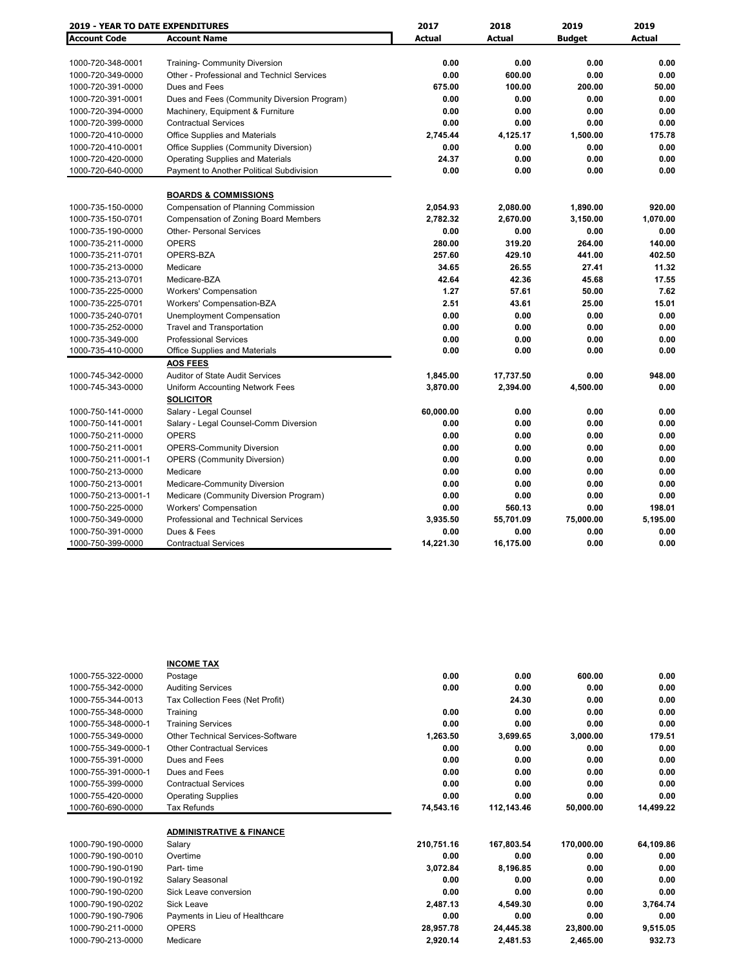|                     | <b>2019 - YEAR TO DATE EXPENDITURES</b>     |               | 2018          | 2019          | 2019          |
|---------------------|---------------------------------------------|---------------|---------------|---------------|---------------|
| <b>Account Code</b> | <b>Account Name</b>                         | <b>Actual</b> | <b>Actual</b> | <b>Budget</b> | <b>Actual</b> |
|                     |                                             |               |               |               |               |
| 1000-720-348-0001   | <b>Training- Community Diversion</b>        | 0.00          | 0.00          | 0.00          | 0.00          |
| 1000-720-349-0000   | Other - Professional and Technicl Services  | 0.00          | 600.00        | 0.00          | 0.00          |
| 1000-720-391-0000   | Dues and Fees                               | 675.00        | 100.00        | 200.00        | 50.00         |
| 1000-720-391-0001   | Dues and Fees (Community Diversion Program) | 0.00          | 0.00          | 0.00          | 0.00          |
| 1000-720-394-0000   | Machinery, Equipment & Furniture            | 0.00          | 0.00          | 0.00          | 0.00          |
| 1000-720-399-0000   | <b>Contractual Services</b>                 | 0.00          | 0.00          | 0.00          | 0.00          |
| 1000-720-410-0000   | Office Supplies and Materials               | 2,745.44      | 4,125.17      | 1,500.00      | 175.78        |
| 1000-720-410-0001   | Office Supplies (Community Diversion)       | 0.00          | 0.00          | 0.00          | 0.00          |
| 1000-720-420-0000   | <b>Operating Supplies and Materials</b>     | 24.37         | 0.00          | 0.00          | 0.00          |
| 1000-720-640-0000   | Payment to Another Political Subdivision    | 0.00          | 0.00          | 0.00          | 0.00          |
|                     | <b>BOARDS &amp; COMMISSIONS</b>             |               |               |               |               |
| 1000-735-150-0000   | <b>Compensation of Planning Commission</b>  | 2,054.93      | 2,080.00      | 1,890.00      | 920.00        |
| 1000-735-150-0701   | <b>Compensation of Zoning Board Members</b> | 2,782.32      | 2,670.00      | 3,150.00      | 1,070.00      |
| 1000-735-190-0000   | <b>Other- Personal Services</b>             | 0.00          | 0.00          | 0.00          | 0.00          |
| 1000-735-211-0000   | <b>OPERS</b>                                | 280.00        | 319.20        | 264.00        | 140.00        |
| 1000-735-211-0701   | OPERS-BZA                                   | 257.60        | 429.10        | 441.00        | 402.50        |
| 1000-735-213-0000   | Medicare                                    | 34.65         | 26.55         | 27.41         | 11.32         |
| 1000-735-213-0701   | Medicare-BZA                                | 42.64         | 42.36         | 45.68         | 17.55         |
| 1000-735-225-0000   | <b>Workers' Compensation</b>                | 1.27          | 57.61         | 50.00         | 7.62          |
| 1000-735-225-0701   | Workers' Compensation-BZA                   | 2.51          | 43.61         | 25.00         | 15.01         |
| 1000-735-240-0701   | Unemployment Compensation                   | 0.00          | 0.00          | 0.00          | 0.00          |
| 1000-735-252-0000   | <b>Travel and Transportation</b>            | 0.00          | 0.00          | 0.00          | 0.00          |
| 1000-735-349-000    | <b>Professional Services</b>                | 0.00          | 0.00          | 0.00          | 0.00          |
| 1000-735-410-0000   | Office Supplies and Materials               | 0.00          | 0.00          | 0.00          | 0.00          |
|                     | <b>AOS FEES</b>                             |               |               |               |               |
| 1000-745-342-0000   | <b>Auditor of State Audit Services</b>      | 1,845.00      | 17,737.50     | 0.00          | 948.00        |
| 1000-745-343-0000   | Uniform Accounting Network Fees             | 3,870.00      | 2,394.00      | 4,500.00      | 0.00          |
|                     | <b>SOLICITOR</b>                            |               |               |               |               |
| 1000-750-141-0000   | Salary - Legal Counsel                      | 60,000.00     | 0.00          | 0.00          | 0.00          |
| 1000-750-141-0001   | Salary - Legal Counsel-Comm Diversion       | 0.00          | 0.00          | 0.00          | 0.00          |
| 1000-750-211-0000   | <b>OPERS</b>                                | 0.00          | 0.00          | 0.00          | 0.00          |
| 1000-750-211-0001   | <b>OPERS-Community Diversion</b>            | 0.00          | 0.00          | 0.00          | 0.00          |
| 1000-750-211-0001-1 | <b>OPERS (Community Diversion)</b>          | 0.00          | 0.00          | 0.00          | 0.00          |
| 1000-750-213-0000   | Medicare                                    | 0.00          | 0.00          | 0.00          | 0.00          |
| 1000-750-213-0001   | <b>Medicare-Community Diversion</b>         | 0.00          | 0.00          | 0.00          | 0.00          |
| 1000-750-213-0001-1 | Medicare (Community Diversion Program)      | 0.00          | 0.00          | 0.00          | 0.00          |
| 1000-750-225-0000   | <b>Workers' Compensation</b>                | 0.00          | 560.13        | 0.00          | 198.01        |
| 1000-750-349-0000   | Professional and Technical Services         | 3,935.50      | 55,701.09     | 75,000.00     | 5,195.00      |
| 1000-750-391-0000   | Dues & Fees                                 | 0.00          | 0.00          | 0.00          | 0.00          |
| 1000-750-399-0000   | <b>Contractual Services</b>                 | 14,221.30     | 16,175.00     | 0.00          | 0.00          |

|                     | <b>INCOME TAX</b>                   |            |            |            |           |
|---------------------|-------------------------------------|------------|------------|------------|-----------|
| 1000-755-322-0000   | Postage                             | 0.00       | 0.00       | 600.00     | 0.00      |
| 1000-755-342-0000   | <b>Auditing Services</b>            | 0.00       | 0.00       | 0.00       | 0.00      |
| 1000-755-344-0013   | Tax Collection Fees (Net Profit)    |            | 24.30      | 0.00       | 0.00      |
| 1000-755-348-0000   | Training                            | 0.00       | 0.00       | 0.00       | 0.00      |
| 1000-755-348-0000-1 | <b>Training Services</b>            | 0.00       | 0.00       | 0.00       | 0.00      |
| 1000-755-349-0000   | Other Technical Services-Software   | 1,263.50   | 3,699.65   | 3,000.00   | 179.51    |
| 1000-755-349-0000-1 | <b>Other Contractual Services</b>   | 0.00       | 0.00       | 0.00       | 0.00      |
| 1000-755-391-0000   | Dues and Fees                       | 0.00       | 0.00       | 0.00       | 0.00      |
| 1000-755-391-0000-1 | Dues and Fees                       | 0.00       | 0.00       | 0.00       | 0.00      |
| 1000-755-399-0000   | <b>Contractual Services</b>         | 0.00       | 0.00       | 0.00       | 0.00      |
| 1000-755-420-0000   | <b>Operating Supplies</b>           | 0.00       | 0.00       | 0.00       | 0.00      |
| 1000-760-690-0000   | Tax Refunds                         | 74,543.16  | 112,143.46 | 50,000.00  | 14,499.22 |
|                     |                                     |            |            |            |           |
|                     | <b>ADMINISTRATIVE &amp; FINANCE</b> |            |            |            |           |
| 1000-790-190-0000   | Salary                              | 210,751.16 | 167,803.54 | 170,000.00 | 64,109.86 |
| 1000-790-190-0010   | Overtime                            | 0.00       | 0.00       | 0.00       | 0.00      |
| 1000-790-190-0190   | Part-time                           | 3,072.84   | 8,196.85   | 0.00       | 0.00      |
| 1000-790-190-0192   | Salary Seasonal                     | 0.00       | 0.00       | 0.00       | 0.00      |
| 1000-790-190-0200   | Sick Leave conversion               | 0.00       | 0.00       | 0.00       | 0.00      |
| 1000-790-190-0202   | <b>Sick Leave</b>                   | 2,487.13   | 4,549.30   | 0.00       | 3,764.74  |
| 1000-790-190-7906   | Payments in Lieu of Healthcare      | 0.00       | 0.00       | 0.00       | 0.00      |
| 1000-790-211-0000   | <b>OPERS</b>                        | 28,957.78  | 24,445.38  | 23,800.00  | 9,515.05  |
| 1000-790-213-0000   | Medicare                            | 2,920.14   | 2,481.53   | 2,465.00   | 932.73    |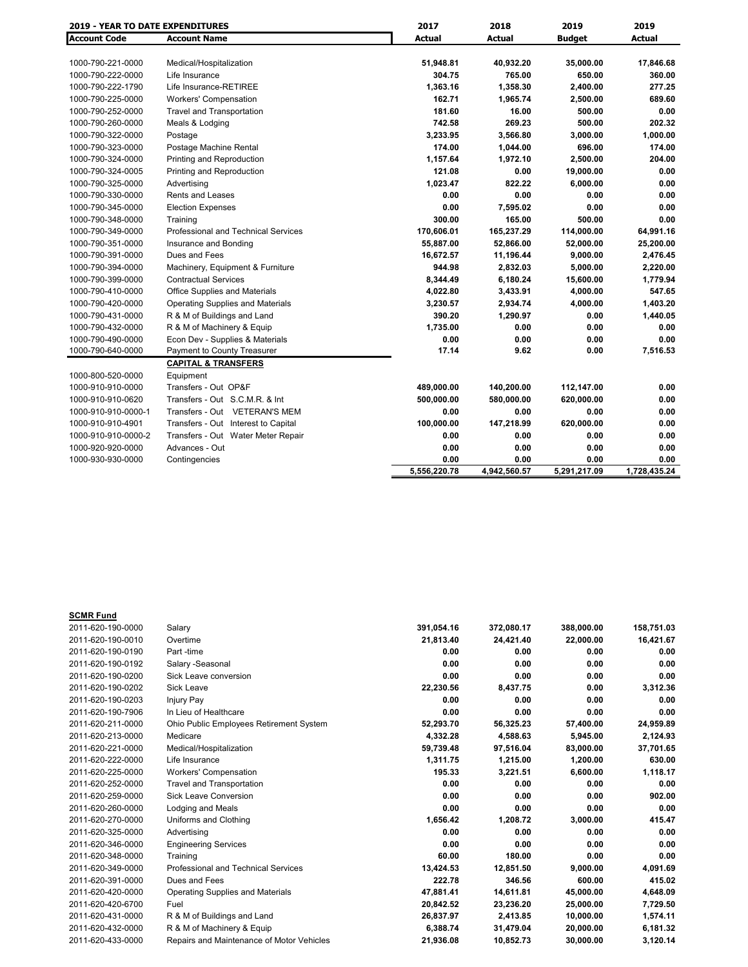| <b>2019 - YEAR TO DATE EXPENDITURES</b> |                                            | 2017          | 2018         | 2019          | 2019          |
|-----------------------------------------|--------------------------------------------|---------------|--------------|---------------|---------------|
| <b>Account Code</b>                     | <b>Account Name</b>                        | <b>Actual</b> | Actual       | <b>Budget</b> | <b>Actual</b> |
|                                         |                                            |               |              |               |               |
| 1000-790-221-0000                       | Medical/Hospitalization                    | 51,948.81     | 40,932.20    | 35,000.00     | 17,846.68     |
| 1000-790-222-0000                       | Life Insurance                             | 304.75        | 765.00       | 650.00        | 360.00        |
| 1000-790-222-1790                       | Life Insurance-RETIREE                     | 1,363.16      | 1,358.30     | 2,400.00      | 277.25        |
| 1000-790-225-0000                       | <b>Workers' Compensation</b>               | 162.71        | 1,965.74     | 2,500.00      | 689.60        |
| 1000-790-252-0000                       | <b>Travel and Transportation</b>           | 181.60        | 16.00        | 500.00        | 0.00          |
| 1000-790-260-0000                       | Meals & Lodging                            | 742.58        | 269.23       | 500.00        | 202.32        |
| 1000-790-322-0000                       | Postage                                    | 3,233.95      | 3,566.80     | 3,000.00      | 1,000.00      |
| 1000-790-323-0000                       | Postage Machine Rental                     | 174.00        | 1,044.00     | 696.00        | 174.00        |
| 1000-790-324-0000                       | Printing and Reproduction                  | 1,157.64      | 1,972.10     | 2,500.00      | 204.00        |
| 1000-790-324-0005                       | Printing and Reproduction                  | 121.08        | 0.00         | 19,000.00     | 0.00          |
| 1000-790-325-0000                       | Advertising                                | 1,023.47      | 822.22       | 6,000.00      | 0.00          |
| 1000-790-330-0000                       | <b>Rents and Leases</b>                    | 0.00          | 0.00         | 0.00          | 0.00          |
| 1000-790-345-0000                       | <b>Election Expenses</b>                   | 0.00          | 7,595.02     | 0.00          | 0.00          |
| 1000-790-348-0000                       | Training                                   | 300.00        | 165.00       | 500.00        | 0.00          |
| 1000-790-349-0000                       | <b>Professional and Technical Services</b> | 170,606.01    | 165,237.29   | 114,000.00    | 64,991.16     |
| 1000-790-351-0000                       | Insurance and Bonding                      | 55,887.00     | 52,866.00    | 52,000.00     | 25,200.00     |
| 1000-790-391-0000                       | Dues and Fees                              | 16,672.57     | 11,196.44    | 9,000.00      | 2,476.45      |
| 1000-790-394-0000                       | Machinery, Equipment & Furniture           | 944.98        | 2,832.03     | 5,000.00      | 2,220.00      |
| 1000-790-399-0000                       | <b>Contractual Services</b>                | 8,344.49      | 6,180.24     | 15,600.00     | 1,779.94      |
| 1000-790-410-0000                       | <b>Office Supplies and Materials</b>       | 4,022.80      | 3,433.91     | 4,000.00      | 547.65        |
| 1000-790-420-0000                       | <b>Operating Supplies and Materials</b>    | 3,230.57      | 2,934.74     | 4,000.00      | 1,403.20      |
| 1000-790-431-0000                       | R & M of Buildings and Land                | 390.20        | 1,290.97     | 0.00          | 1,440.05      |
| 1000-790-432-0000                       | R & M of Machinery & Equip                 | 1.735.00      | 0.00         | 0.00          | 0.00          |
| 1000-790-490-0000                       | Econ Dev - Supplies & Materials            | 0.00          | 0.00         | 0.00          | 0.00          |
| 1000-790-640-0000                       | Payment to County Treasurer                | 17.14         | 9.62         | 0.00          | 7,516.53      |
|                                         | <b>CAPITAL &amp; TRANSFERS</b>             |               |              |               |               |
| 1000-800-520-0000                       | Equipment                                  |               |              |               |               |
| 1000-910-910-0000                       | Transfers - Out OP&F                       | 489,000.00    | 140,200.00   | 112,147.00    | 0.00          |
| 1000-910-910-0620                       | Transfers - Out S.C.M.R. & Int             | 500,000.00    | 580,000.00   | 620,000.00    | 0.00          |
| 1000-910-910-0000-1                     | Transfers - Out VETERAN'S MEM              | 0.00          | 0.00         | 0.00          | 0.00          |
| 1000-910-910-4901                       | Transfers - Out Interest to Capital        | 100,000.00    | 147,218.99   | 620,000.00    | 0.00          |
| 1000-910-910-0000-2                     | Transfers - Out Water Meter Repair         | 0.00          | 0.00         | 0.00          | 0.00          |
| 1000-920-920-0000                       | Advances - Out                             | 0.00          | 0.00         | 0.00          | 0.00          |
| 1000-930-930-0000                       | Contingencies                              | 0.00          | 0.00         | 0.00          | 0.00          |
|                                         |                                            | 5.556.220.78  | 4,942,560.57 | 5,291,217.09  | 1,728,435.24  |

| <b>SCMR Fund</b>  |                                           |            |            |            |            |
|-------------------|-------------------------------------------|------------|------------|------------|------------|
| 2011-620-190-0000 | Salary                                    | 391,054.16 | 372,080.17 | 388,000.00 | 158,751.03 |
| 2011-620-190-0010 | Overtime                                  | 21,813.40  | 24,421.40  | 22,000.00  | 16,421.67  |
| 2011-620-190-0190 | Part -time                                | 0.00       | 0.00       | 0.00       | 0.00       |
| 2011-620-190-0192 | Salary -Seasonal                          | 0.00       | 0.00       | 0.00       | 0.00       |
| 2011-620-190-0200 | Sick Leave conversion                     | 0.00       | 0.00       | 0.00       | 0.00       |
| 2011-620-190-0202 | Sick Leave                                | 22,230.56  | 8,437.75   | 0.00       | 3,312.36   |
| 2011-620-190-0203 | Injury Pay                                | 0.00       | 0.00       | 0.00       | 0.00       |
| 2011-620-190-7906 | In Lieu of Healthcare                     | 0.00       | 0.00       | 0.00       | 0.00       |
| 2011-620-211-0000 | Ohio Public Employees Retirement System   | 52,293.70  | 56,325.23  | 57,400.00  | 24,959.89  |
| 2011-620-213-0000 | Medicare                                  | 4.332.28   | 4,588.63   | 5,945.00   | 2,124.93   |
| 2011-620-221-0000 | Medical/Hospitalization                   | 59,739.48  | 97,516.04  | 83,000.00  | 37,701.65  |
| 2011-620-222-0000 | Life Insurance                            | 1,311.75   | 1,215.00   | 1,200.00   | 630.00     |
| 2011-620-225-0000 | <b>Workers' Compensation</b>              | 195.33     | 3.221.51   | 6.600.00   | 1,118.17   |
| 2011-620-252-0000 | <b>Travel and Transportation</b>          | 0.00       | 0.00       | 0.00       | 0.00       |
| 2011-620-259-0000 | <b>Sick Leave Conversion</b>              | 0.00       | 0.00       | 0.00       | 902.00     |
| 2011-620-260-0000 | Lodging and Meals                         | 0.00       | 0.00       | 0.00       | 0.00       |
| 2011-620-270-0000 | Uniforms and Clothing                     | 1.656.42   | 1.208.72   | 3,000.00   | 415.47     |
| 2011-620-325-0000 | Advertising                               | 0.00       | 0.00       | 0.00       | 0.00       |
| 2011-620-346-0000 | <b>Engineering Services</b>               | 0.00       | 0.00       | 0.00       | 0.00       |
| 2011-620-348-0000 | Training                                  | 60.00      | 180.00     | 0.00       | 0.00       |
| 2011-620-349-0000 | Professional and Technical Services       | 13,424.53  | 12,851.50  | 9,000.00   | 4,091.69   |
| 2011-620-391-0000 | Dues and Fees                             | 222.78     | 346.56     | 600.00     | 415.02     |
| 2011-620-420-0000 | <b>Operating Supplies and Materials</b>   | 47,881.41  | 14,611.81  | 45,000.00  | 4,648.09   |
| 2011-620-420-6700 | Fuel                                      | 20,842.52  | 23,236.20  | 25,000.00  | 7,729.50   |
| 2011-620-431-0000 | R & M of Buildings and Land               | 26,837.97  | 2,413.85   | 10.000.00  | 1.574.11   |
| 2011-620-432-0000 | R & M of Machinery & Equip                | 6,388.74   | 31,479.04  | 20,000.00  | 6,181.32   |
| 2011-620-433-0000 | Repairs and Maintenance of Motor Vehicles | 21,936.08  | 10,852.73  | 30,000.00  | 3,120.14   |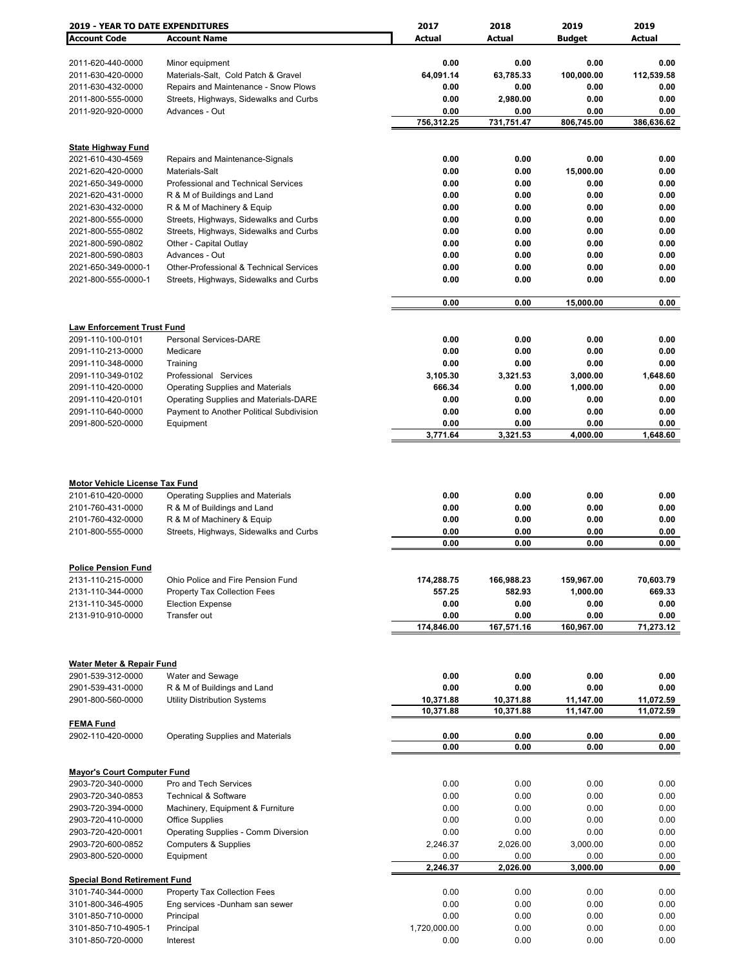| <b>2019 - YEAR TO DATE EXPENDITURES</b>                    |                                                                    | 2017               | 2018               | 2019               | 2019               |
|------------------------------------------------------------|--------------------------------------------------------------------|--------------------|--------------------|--------------------|--------------------|
| <b>Account Code</b>                                        | <b>Account Name</b>                                                | <b>Actual</b>      | Actual             | <b>Budget</b>      | Actual             |
|                                                            |                                                                    |                    |                    |                    |                    |
| 2011-620-440-0000                                          | Minor equipment                                                    | 0.00               | 0.00               | 0.00               | 0.00               |
| 2011-630-420-0000                                          | Materials-Salt, Cold Patch & Gravel                                | 64,091.14          | 63,785.33          | 100,000.00         | 112,539.58         |
| 2011-630-432-0000                                          | Repairs and Maintenance - Snow Plows                               | 0.00               | 0.00               | 0.00               | 0.00               |
| 2011-800-555-0000                                          | Streets, Highways, Sidewalks and Curbs                             | 0.00               | 2,980.00           | 0.00               | 0.00               |
| 2011-920-920-0000                                          | Advances - Out                                                     | 0.00<br>756,312.25 | 0.00<br>731,751.47 | 0.00<br>806,745.00 | 0.00<br>386,636.62 |
|                                                            |                                                                    |                    |                    |                    |                    |
| <b>State Highway Fund</b>                                  |                                                                    |                    |                    |                    |                    |
| 2021-610-430-4569                                          | Repairs and Maintenance-Signals                                    | 0.00               | 0.00               | 0.00               | 0.00               |
| 2021-620-420-0000                                          | Materials-Salt                                                     | 0.00               | 0.00               | 15,000.00          | 0.00               |
| 2021-650-349-0000                                          | Professional and Technical Services                                | 0.00               | 0.00               | 0.00               | 0.00               |
| 2021-620-431-0000                                          | R & M of Buildings and Land                                        | 0.00               | 0.00               | 0.00               | 0.00               |
| 2021-630-432-0000                                          | R & M of Machinery & Equip                                         | 0.00               | 0.00               | 0.00               | 0.00               |
| 2021-800-555-0000                                          | Streets, Highways, Sidewalks and Curbs                             | 0.00               | 0.00               | 0.00               | 0.00               |
| 2021-800-555-0802                                          | Streets, Highways, Sidewalks and Curbs                             | 0.00               | 0.00               | 0.00               | 0.00               |
| 2021-800-590-0802                                          | Other - Capital Outlay                                             | 0.00               | 0.00               | 0.00               | 0.00               |
| 2021-800-590-0803                                          | Advances - Out                                                     | 0.00               | 0.00               | 0.00               | 0.00               |
| 2021-650-349-0000-1                                        | Other-Professional & Technical Services                            | 0.00               | 0.00               | 0.00               | 0.00               |
| 2021-800-555-0000-1                                        | Streets, Highways, Sidewalks and Curbs                             | 0.00               | 0.00               | 0.00               | 0.00               |
|                                                            |                                                                    |                    |                    |                    |                    |
|                                                            |                                                                    | 0.00               | 0.00               | 15,000.00          | 0.00               |
| <b>Law Enforcement Trust Fund</b>                          |                                                                    |                    |                    |                    |                    |
| 2091-110-100-0101                                          | <b>Personal Services-DARE</b>                                      | 0.00               | 0.00               | 0.00               | 0.00               |
| 2091-110-213-0000                                          | Medicare                                                           | 0.00               | 0.00               | 0.00               | 0.00               |
| 2091-110-348-0000                                          | Training                                                           | 0.00               | 0.00               | 0.00               | 0.00               |
| 2091-110-349-0102                                          | Professional Services                                              | 3,105.30           | 3,321.53           | 3,000.00           | 1,648.60           |
| 2091-110-420-0000                                          | <b>Operating Supplies and Materials</b>                            | 666.34             | 0.00               | 1,000.00           | 0.00               |
| 2091-110-420-0101                                          | Operating Supplies and Materials-DARE                              | 0.00               | 0.00               | 0.00               | 0.00               |
| 2091-110-640-0000                                          | Payment to Another Political Subdivision                           | 0.00               | 0.00               | 0.00               | 0.00               |
| 2091-800-520-0000                                          | Equipment                                                          | 0.00               | 0.00               | 0.00               | 0.00               |
|                                                            |                                                                    | 3,771.64           | 3,321.53           | 4,000.00           | 1,648.60           |
| <b>Motor Vehicle License Tax Fund</b><br>2101-610-420-0000 | <b>Operating Supplies and Materials</b>                            | 0.00               | 0.00               | 0.00               | 0.00               |
| 2101-760-431-0000                                          | R & M of Buildings and Land                                        | 0.00               | 0.00               | 0.00               | 0.00               |
| 2101-760-432-0000                                          | R & M of Machinery & Equip                                         | 0.00               | 0.00               | 0.00               | 0.00               |
| 2101-800-555-0000                                          | Streets, Highways, Sidewalks and Curbs                             | 0.00<br>0.00       | 0.00<br>0.00       | 0.00<br>0.00       | 0.00<br>0.00       |
|                                                            |                                                                    |                    |                    |                    |                    |
| <b>Police Pension Fund</b>                                 |                                                                    |                    |                    |                    |                    |
| 2131-110-215-0000                                          | Ohio Police and Fire Pension Fund                                  | 174,288.75         | 166,988.23         | 159,967.00         | 70,603.79          |
| 2131-110-344-0000                                          | Property Tax Collection Fees                                       | 557.25             | 582.93             | 1,000.00           | 669.33             |
| 2131-110-345-0000                                          | <b>Election Expense</b>                                            | 0.00               | 0.00               | 0.00               | 0.00               |
| 2131-910-910-0000                                          | Transfer out                                                       | 0.00               | 0.00               | 0.00               | 0.00               |
|                                                            |                                                                    | 174,846.00         | 167,571.16         | 160,967.00         | 71,273.12          |
|                                                            |                                                                    |                    |                    |                    |                    |
|                                                            |                                                                    |                    |                    |                    |                    |
| <b>Water Meter &amp; Repair Fund</b>                       |                                                                    |                    |                    |                    |                    |
| 2901-539-312-0000                                          | Water and Sewage                                                   | 0.00               | 0.00               | 0.00               | 0.00               |
| 2901-539-431-0000<br>2901-800-560-0000                     | R & M of Buildings and Land<br><b>Utility Distribution Systems</b> | 0.00<br>10,371.88  | 0.00<br>10,371.88  | 0.00<br>11,147.00  | 0.00<br>11,072.59  |
|                                                            |                                                                    | 10,371.88          | 10,371.88          | 11,147.00          | 11,072.59          |
| <b>FEMA Fund</b>                                           |                                                                    |                    |                    |                    |                    |
| 2902-110-420-0000                                          | <b>Operating Supplies and Materials</b>                            | 0.00               | 0.00               | 0.00               | 0.00               |
|                                                            |                                                                    | 0.00               | 0.00               | 0.00               | 0.00               |
|                                                            |                                                                    |                    |                    |                    |                    |
| <b>Mayor's Court Computer Fund</b>                         |                                                                    |                    |                    |                    |                    |
| 2903-720-340-0000                                          | Pro and Tech Services                                              | 0.00               | 0.00               | 0.00               | 0.00               |
| 2903-720-340-0853                                          | <b>Technical &amp; Software</b>                                    | 0.00               | 0.00               | 0.00               | 0.00               |
| 2903-720-394-0000                                          | Machinery, Equipment & Furniture                                   | 0.00               | 0.00               | 0.00               | 0.00               |
| 2903-720-410-0000                                          | <b>Office Supplies</b>                                             | 0.00               | 0.00               | 0.00               | 0.00               |
| 2903-720-420-0001                                          | Operating Supplies - Comm Diversion                                | 0.00               | 0.00               | 0.00               | 0.00               |
| 2903-720-600-0852                                          | <b>Computers &amp; Supplies</b>                                    | 2,246.37           | 2,026.00           | 3,000.00           | 0.00               |
| 2903-800-520-0000                                          | Equipment                                                          | 0.00               | 0.00               | 0.00               | 0.00               |
|                                                            |                                                                    | 2,246.37           | 2,026.00           | 3,000.00           | 0.00               |
| <b>Special Bond Retirement Fund</b><br>3101-740-344-0000   | Property Tax Collection Fees                                       | 0.00               | 0.00               | 0.00               | 0.00               |
| 3101-800-346-4905                                          | Eng services -Dunham san sewer                                     | 0.00               | 0.00               | 0.00               | 0.00               |
| 3101-850-710-0000                                          | Principal                                                          | 0.00               | 0.00               | 0.00               | 0.00               |
| 3101-850-710-4905-1                                        | Principal                                                          | 1,720,000.00       | 0.00               | 0.00               | 0.00               |
| 3101-850-720-0000                                          | Interest                                                           | 0.00               | 0.00               | 0.00               | 0.00               |
|                                                            |                                                                    |                    |                    |                    |                    |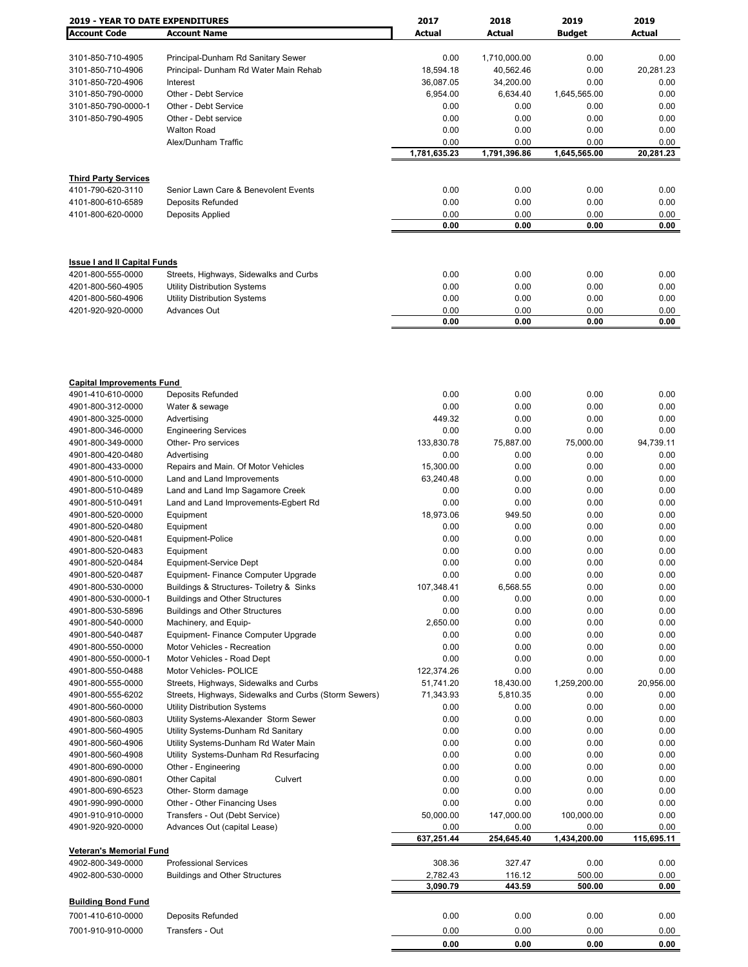| <b>2019 - YEAR TO DATE EXPENDITURES</b> |                                                       | 2017               | 2018               | 2019                 | 2019               |
|-----------------------------------------|-------------------------------------------------------|--------------------|--------------------|----------------------|--------------------|
| <b>Account Code</b>                     | <b>Account Name</b>                                   | Actual             | Actual             | <b>Budget</b>        | Actual             |
|                                         |                                                       |                    |                    |                      |                    |
| 3101-850-710-4905                       | Principal-Dunham Rd Sanitary Sewer                    | 0.00               | 1,710,000.00       | 0.00                 | 0.00               |
| 3101-850-710-4906                       | Principal- Dunham Rd Water Main Rehab                 | 18,594.18          | 40,562.46          | 0.00                 | 20,281.23          |
| 3101-850-720-4906                       | Interest                                              | 36,087.05          | 34,200.00          | 0.00                 | 0.00               |
| 3101-850-790-0000                       | Other - Debt Service                                  | 6,954.00           | 6,634.40           | 1,645,565.00         | 0.00               |
| 3101-850-790-0000-1                     | Other - Debt Service                                  | 0.00               | 0.00               | 0.00                 | 0.00               |
| 3101-850-790-4905                       | Other - Debt service                                  | 0.00               | 0.00               | 0.00                 | 0.00               |
|                                         |                                                       |                    | 0.00               |                      | 0.00               |
|                                         | <b>Walton Road</b>                                    | 0.00               |                    | 0.00                 |                    |
|                                         | Alex/Dunham Traffic                                   | 0.00               | 0.00               | 0.00                 | 0.00               |
|                                         |                                                       | 1,781,635.23       | 1,791,396.86       | 1,645,565.00         | 20,281.23          |
|                                         |                                                       |                    |                    |                      |                    |
| <b>Third Party Services</b>             |                                                       |                    |                    |                      |                    |
| 4101-790-620-3110                       | Senior Lawn Care & Benevolent Events                  | 0.00               | 0.00               | 0.00                 | 0.00               |
| 4101-800-610-6589                       | Deposits Refunded                                     | 0.00               | 0.00               | 0.00                 | 0.00               |
| 4101-800-620-0000                       | Deposits Applied                                      | 0.00               | 0.00               | 0.00                 | 0.00               |
|                                         |                                                       | 0.00               | 0.00               | 0.00                 | 0.00               |
|                                         |                                                       |                    |                    |                      |                    |
|                                         |                                                       |                    |                    |                      |                    |
| <b>Issue I and II Capital Funds</b>     |                                                       | 0.00               | 0.00               | 0.00                 | 0.00               |
| 4201-800-555-0000                       | Streets, Highways, Sidewalks and Curbs                |                    |                    |                      |                    |
| 4201-800-560-4905                       | <b>Utility Distribution Systems</b>                   | 0.00               | 0.00               | 0.00                 | 0.00               |
| 4201-800-560-4906                       | <b>Utility Distribution Systems</b>                   | 0.00               | 0.00               | 0.00                 | 0.00               |
| 4201-920-920-0000                       | Advances Out                                          | 0.00               | 0.00               | 0.00                 | 0.00               |
|                                         |                                                       | 0.00               | 0.00               | 0.00                 | 0.00               |
|                                         |                                                       |                    |                    |                      |                    |
|                                         |                                                       |                    |                    |                      |                    |
| <b>Capital Improvements Fund</b>        |                                                       |                    |                    |                      |                    |
| 4901-410-610-0000                       | Deposits Refunded                                     | 0.00               | 0.00               | 0.00                 | 0.00               |
| 4901-800-312-0000                       | Water & sewage                                        | 0.00               | 0.00               | 0.00                 | 0.00               |
| 4901-800-325-0000                       | Advertising                                           | 449.32             | 0.00               | 0.00                 | 0.00               |
| 4901-800-346-0000                       | <b>Engineering Services</b>                           | 0.00               | 0.00               | 0.00                 | 0.00               |
| 4901-800-349-0000                       | Other- Pro services                                   | 133,830.78         | 75,887.00          | 75,000.00            | 94,739.11          |
| 4901-800-420-0480                       | Advertising                                           | 0.00               | 0.00               | 0.00                 | 0.00               |
| 4901-800-433-0000                       | Repairs and Main. Of Motor Vehicles                   | 15,300.00          | 0.00               | 0.00                 | 0.00               |
| 4901-800-510-0000                       | Land and Land Improvements                            | 63,240.48          | 0.00               | 0.00                 | 0.00               |
| 4901-800-510-0489                       | Land and Land Imp Sagamore Creek                      | 0.00               | 0.00               | 0.00                 | 0.00               |
| 4901-800-510-0491                       | Land and Land Improvements-Egbert Rd                  | 0.00               | 0.00               | 0.00                 | 0.00               |
|                                         |                                                       | 18,973.06          | 949.50             | 0.00                 | 0.00               |
| 4901-800-520-0000                       | Equipment                                             |                    |                    |                      |                    |
| 4901-800-520-0480                       | Equipment                                             | 0.00               | 0.00               | 0.00                 | 0.00               |
| 4901-800-520-0481                       | Equipment-Police                                      | 0.00               | 0.00               | 0.00                 | 0.00               |
| 4901-800-520-0483                       | Equipment                                             | 0.00               | 0.00               | 0.00                 | 0.00               |
| 4901-800-520-0484                       | Equipment-Service Dept                                | 0.00               | 0.00               | 0.00                 | 0.00               |
| 4901-800-520-0487                       | Equipment- Finance Computer Upgrade                   | 0.00               | 0.00               | 0.00                 | 0.00               |
| 4901-800-530-0000                       | Buildings & Structures- Toiletry & Sinks              | 107,348.41         | 6,568.55           | 0.00                 | 0.00               |
| 4901-800-530-0000-1                     | <b>Buildings and Other Structures</b>                 | 0.00               | 0.00               | 0.00                 | 0.00               |
| 4901-800-530-5896                       | <b>Buildings and Other Structures</b>                 | 0.00               | 0.00               | 0.00                 | 0.00               |
| 4901-800-540-0000                       | Machinery, and Equip-                                 | 2,650.00           | 0.00               | 0.00                 | 0.00               |
| 4901-800-540-0487                       | Equipment- Finance Computer Upgrade                   | 0.00               | 0.00               | 0.00                 | 0.00               |
| 4901-800-550-0000                       | Motor Vehicles - Recreation                           | 0.00               | 0.00               | 0.00                 | 0.00               |
| 4901-800-550-0000-1                     | Motor Vehicles - Road Dept                            | 0.00               | 0.00               | 0.00                 | 0.00               |
|                                         | Motor Vehicles- POLICE                                |                    |                    |                      |                    |
| 4901-800-550-0488                       |                                                       | 122,374.26         | 0.00               | 0.00                 | 0.00               |
| 4901-800-555-0000                       | Streets, Highways, Sidewalks and Curbs                | 51,741.20          | 18,430.00          | 1,259,200.00         | 20,956.00          |
| 4901-800-555-6202                       | Streets, Highways, Sidewalks and Curbs (Storm Sewers) | 71,343.93          | 5,810.35           | 0.00                 | 0.00               |
| 4901-800-560-0000                       | <b>Utility Distribution Systems</b>                   | 0.00               | 0.00               | 0.00                 | 0.00               |
| 4901-800-560-0803                       | Utility Systems-Alexander Storm Sewer                 | 0.00               | 0.00               | 0.00                 | 0.00               |
| 4901-800-560-4905                       | Utility Systems-Dunham Rd Sanitary                    | 0.00               | 0.00               | 0.00                 | 0.00               |
| 4901-800-560-4906                       | Utility Systems-Dunham Rd Water Main                  | 0.00               | 0.00               | 0.00                 | 0.00               |
| 4901-800-560-4908                       | Utility Systems-Dunham Rd Resurfacing                 | 0.00               | 0.00               | 0.00                 | 0.00               |
| 4901-800-690-0000                       | Other - Engineering                                   | 0.00               | 0.00               | 0.00                 | 0.00               |
| 4901-800-690-0801                       | Other Capital<br>Culvert                              | 0.00               | 0.00               | 0.00                 | 0.00               |
| 4901-800-690-6523                       | Other- Storm damage                                   | 0.00               | 0.00               | 0.00                 | 0.00               |
| 4901-990-990-0000                       | Other - Other Financing Uses                          | 0.00               | 0.00               | 0.00                 | 0.00               |
|                                         |                                                       |                    |                    |                      |                    |
| 4901-910-910-0000                       | Transfers - Out (Debt Service)                        | 50,000.00          | 147,000.00         | 100,000.00           | 0.00               |
| 4901-920-920-0000                       | Advances Out (capital Lease)                          | 0.00<br>637,251.44 | 0.00<br>254,645.40 | 0.00<br>1,434,200.00 | 0.00<br>115,695.11 |
| <b>Veteran's Memorial Fund</b>          |                                                       |                    |                    |                      |                    |
| 4902-800-349-0000                       | <b>Professional Services</b>                          | 308.36             | 327.47             | 0.00                 | 0.00               |
| 4902-800-530-0000                       | <b>Buildings and Other Structures</b>                 | 2,782.43           | 116.12             | 500.00               | 0.00               |
|                                         |                                                       | 3,090.79           | 443.59             | 500.00               | 0.00               |
|                                         |                                                       |                    |                    |                      |                    |
| <b>Building Bond Fund</b>               |                                                       |                    |                    |                      |                    |
| 7001-410-610-0000                       | Deposits Refunded                                     | 0.00               | 0.00               | 0.00                 | 0.00               |
| 7001-910-910-0000                       | Transfers - Out                                       | 0.00               | 0.00               | 0.00                 | 0.00               |
|                                         |                                                       | 0.00               | 0.00               | 0.00                 | 0.00               |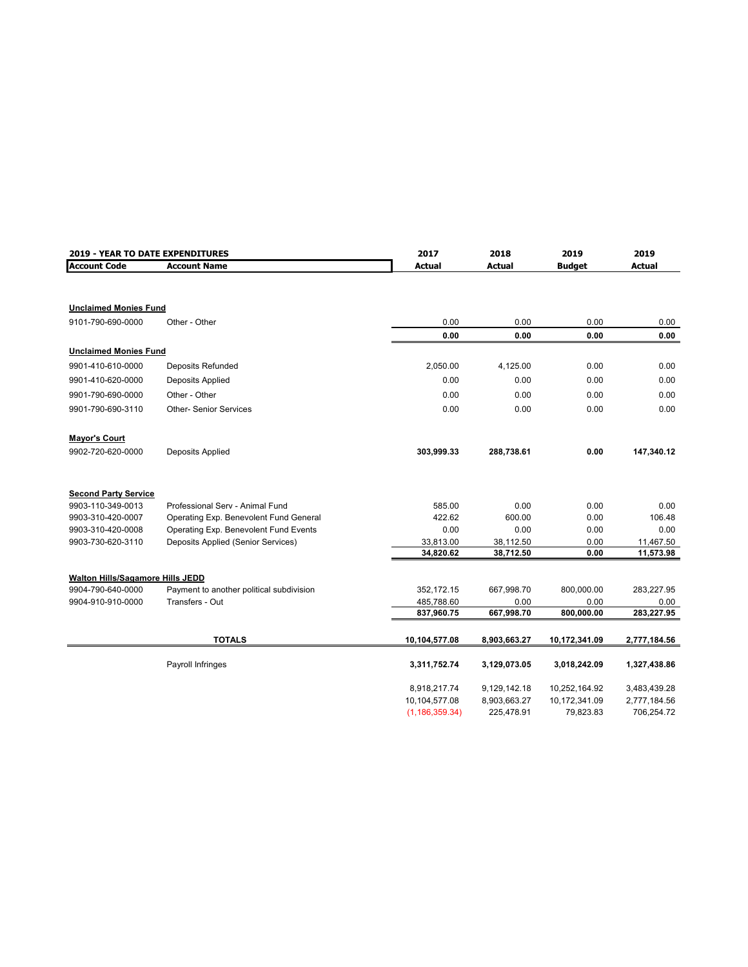| 2019 - YEAR TO DATE EXPENDITURES |                                          | 2017             | 2018         | 2019          | 2019          |
|----------------------------------|------------------------------------------|------------------|--------------|---------------|---------------|
| <b>Account Code</b>              | <b>Account Name</b>                      | <b>Actual</b>    | Actual       | <b>Budget</b> | <b>Actual</b> |
|                                  |                                          |                  |              |               |               |
| <b>Unclaimed Monies Fund</b>     |                                          |                  |              |               |               |
| 9101-790-690-0000                | Other - Other                            | 0.00             | 0.00         | 0.00          | 0.00          |
|                                  |                                          | 0.00             | 0.00         | 0.00          | 0.00          |
| <b>Unclaimed Monies Fund</b>     |                                          |                  |              |               |               |
| 9901-410-610-0000                | Deposits Refunded                        | 2,050.00         | 4,125.00     | 0.00          | 0.00          |
| 9901-410-620-0000                | Deposits Applied                         | 0.00             | 0.00         | 0.00          | 0.00          |
| 9901-790-690-0000                | Other - Other                            | 0.00             | 0.00         | 0.00          | 0.00          |
| 9901-790-690-3110                | <b>Other- Senior Services</b>            | 0.00             | 0.00         | 0.00          | 0.00          |
| <b>Mayor's Court</b>             |                                          |                  |              |               |               |
| 9902-720-620-0000                | Deposits Applied                         | 303,999.33       | 288,738.61   | 0.00          | 147,340.12    |
| <b>Second Party Service</b>      |                                          |                  |              |               |               |
| 9903-110-349-0013                | Professional Serv - Animal Fund          | 585.00           | 0.00         | 0.00          | 0.00          |
| 9903-310-420-0007                | Operating Exp. Benevolent Fund General   | 422.62           | 600.00       | 0.00          | 106.48        |
| 9903-310-420-0008                | Operating Exp. Benevolent Fund Events    | 0.00             | 0.00         | 0.00          | 0.00          |
| 9903-730-620-3110                | Deposits Applied (Senior Services)       | 33,813.00        | 38,112.50    | 0.00          | 11,467.50     |
|                                  |                                          | 34,820.62        | 38,712.50    | 0.00          | 11,573.98     |
| Walton Hills/Sagamore Hills JEDD |                                          |                  |              |               |               |
| 9904-790-640-0000                | Payment to another political subdivision | 352,172.15       | 667,998.70   | 800,000.00    | 283,227.95    |
| 9904-910-910-0000                | Transfers - Out                          | 485,788.60       | 0.00         | 0.00          | 0.00          |
|                                  |                                          | 837,960.75       | 667,998.70   | 800,000.00    | 283,227.95    |
|                                  | <b>TOTALS</b>                            | 10,104,577.08    | 8,903,663.27 | 10,172,341.09 | 2,777,184.56  |
|                                  | Payroll Infringes                        | 3,311,752.74     | 3,129,073.05 | 3,018,242.09  | 1,327,438.86  |
|                                  |                                          |                  |              |               |               |
|                                  |                                          | 8,918,217.74     | 9,129,142.18 | 10,252,164.92 | 3,483,439.28  |
|                                  |                                          | 10,104,577.08    | 8,903,663.27 | 10,172,341.09 | 2,777,184.56  |
|                                  |                                          | (1, 186, 359.34) | 225,478.91   | 79,823.83     | 706,254.72    |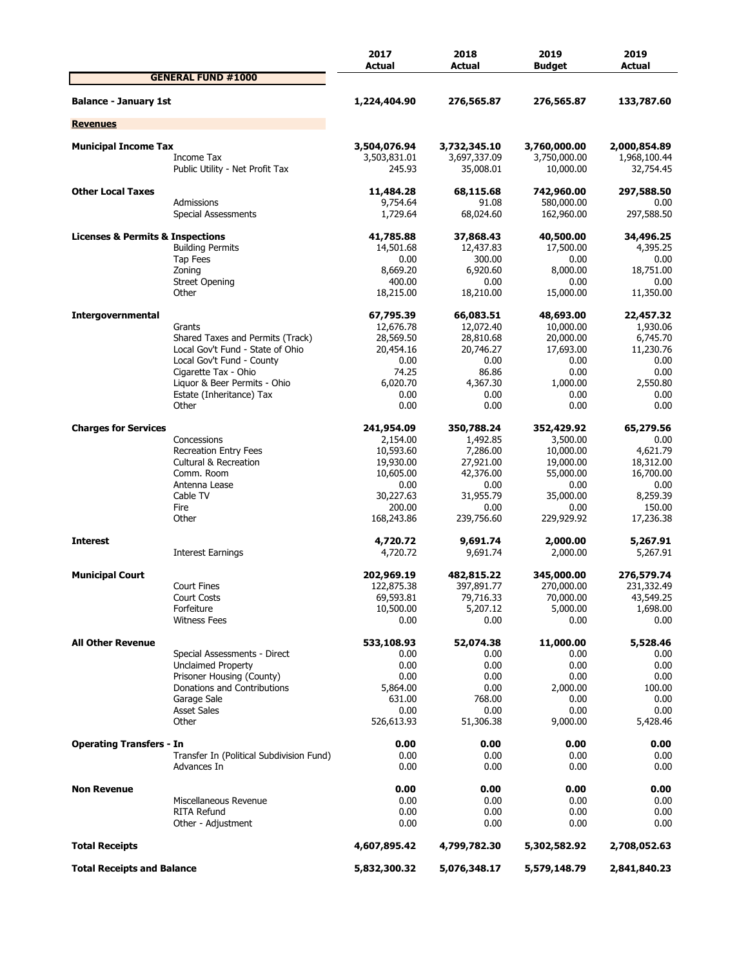|                                                 |                                                   | 2017<br>Actual               | 2018<br>Actual               | 2019<br><b>Budget</b>        | 2019<br>Actual               |
|-------------------------------------------------|---------------------------------------------------|------------------------------|------------------------------|------------------------------|------------------------------|
|                                                 | <b>GENERAL FUND #1000</b>                         |                              |                              |                              |                              |
| <b>Balance - January 1st</b>                    |                                                   | 1,224,404.90                 | 276,565.87                   | 276,565.87                   | 133,787.60                   |
| <b>Revenues</b>                                 |                                                   |                              |                              |                              |                              |
|                                                 |                                                   |                              |                              |                              |                              |
| <b>Municipal Income Tax</b>                     | Income Tax                                        | 3,504,076.94<br>3,503,831.01 | 3,732,345.10<br>3,697,337.09 | 3,760,000.00<br>3,750,000.00 | 2,000,854.89<br>1,968,100.44 |
|                                                 | Public Utility - Net Profit Tax                   | 245.93                       | 35,008.01                    | 10,000.00                    | 32,754.45                    |
| <b>Other Local Taxes</b>                        |                                                   | 11,484.28                    | 68,115.68                    | 742,960.00                   | 297,588.50                   |
|                                                 | Admissions<br>Special Assessments                 | 9,754.64<br>1,729.64         | 91.08<br>68,024.60           | 580,000.00<br>162,960.00     | 0.00<br>297,588.50           |
| <b>Licenses &amp; Permits &amp; Inspections</b> |                                                   | 41,785.88                    | 37,868.43                    | 40,500.00                    | 34,496.25                    |
|                                                 | <b>Building Permits</b>                           | 14,501.68                    | 12,437.83                    | 17,500.00                    | 4,395.25                     |
|                                                 | Tap Fees                                          | 0.00                         | 300.00                       | 0.00                         | 0.00                         |
|                                                 | Zoning                                            | 8,669.20                     | 6,920.60                     | 8,000.00                     | 18,751.00                    |
|                                                 | <b>Street Opening</b>                             | 400.00                       | 0.00                         | 0.00                         | 0.00                         |
|                                                 | Other                                             | 18,215.00                    | 18,210.00                    | 15,000.00                    | 11,350.00                    |
| Intergovernmental                               |                                                   | 67,795.39                    | 66,083.51                    | 48,693.00                    | 22,457.32                    |
|                                                 | Grants                                            | 12,676.78                    | 12,072.40                    | 10,000.00                    | 1,930.06                     |
|                                                 | Shared Taxes and Permits (Track)                  | 28,569.50                    | 28,810.68                    | 20,000.00                    | 6,745.70                     |
|                                                 | Local Gov't Fund - State of Ohio                  | 20,454.16                    | 20,746.27                    | 17,693.00                    | 11,230.76                    |
|                                                 | Local Gov't Fund - County<br>Cigarette Tax - Ohio | 0.00<br>74.25                | 0.00<br>86.86                | 0.00<br>0.00                 | 0.00<br>0.00                 |
|                                                 | Liquor & Beer Permits - Ohio                      | 6,020,70                     | 4,367.30                     | 1,000.00                     | 2,550.80                     |
|                                                 | Estate (Inheritance) Tax                          | 0.00                         | 0.00                         | 0.00                         | 0.00                         |
|                                                 | Other                                             | 0.00                         | 0.00                         | 0.00                         | 0.00                         |
| <b>Charges for Services</b>                     |                                                   | 241,954.09                   | 350,788.24                   | 352,429.92                   | 65,279.56                    |
|                                                 | Concessions                                       | 2,154.00                     | 1,492.85                     | 3,500.00                     | 0.00                         |
|                                                 | <b>Recreation Entry Fees</b>                      | 10,593.60                    | 7,286.00                     | 10,000.00                    | 4,621.79                     |
|                                                 | <b>Cultural &amp; Recreation</b>                  | 19,930.00                    | 27,921.00                    | 19,000.00                    | 18,312.00                    |
|                                                 | Comm. Room                                        | 10,605.00                    | 42,376.00                    | 55,000.00                    | 16,700.00                    |
|                                                 | Antenna Lease                                     | 0.00                         | 0.00                         | 0.00                         | 0.00                         |
|                                                 | Cable TV                                          | 30,227.63                    | 31,955.79                    | 35,000.00                    | 8,259.39                     |
|                                                 | Fire<br>Other                                     | 200.00<br>168,243.86         | 0.00<br>239,756.60           | 0.00<br>229,929.92           | 150.00<br>17,236.38          |
|                                                 |                                                   |                              |                              |                              |                              |
| <b>Interest</b>                                 |                                                   | 4,720.72                     | 9,691.74                     | 2,000.00                     | 5,267.91                     |
|                                                 | Interest Earnings                                 | 4,720.72                     | 9,691.74                     | 2,000.00                     | 5,267.91                     |
| <b>Municipal Court</b>                          |                                                   | 202,969.19                   | 482,815.22                   | 345,000.00                   | 276,579.74                   |
|                                                 | <b>Court Fines</b>                                | 122,875.38                   | 397,891.77                   | 270,000.00                   | 231,332.49                   |
|                                                 | Court Costs                                       | 69,593.81                    | 79,716.33                    | 70,000.00                    | 43,549.25                    |
|                                                 | Forfeiture                                        | 10,500.00                    | 5,207.12                     | 5,000.00                     | 1,698.00                     |
|                                                 | <b>Witness Fees</b>                               | 0.00                         | 0.00                         | 0.00                         | 0.00                         |
| <b>All Other Revenue</b>                        |                                                   | 533,108.93                   | 52,074.38                    | 11,000.00                    | 5,528.46                     |
|                                                 | Special Assessments - Direct                      | 0.00                         | 0.00                         | 0.00                         | 0.00                         |
|                                                 | <b>Unclaimed Property</b>                         | 0.00                         | 0.00                         | 0.00                         | 0.00                         |
|                                                 | Prisoner Housing (County)                         | 0.00                         | 0.00                         | 0.00                         | 0.00                         |
|                                                 | Donations and Contributions<br>Garage Sale        | 5,864.00<br>631.00           | 0.00<br>768.00               | 2,000.00<br>0.00             | 100.00<br>0.00               |
|                                                 | <b>Asset Sales</b>                                | 0.00                         | 0.00                         | 0.00                         | 0.00                         |
|                                                 | Other                                             | 526,613.93                   | 51,306.38                    | 9,000.00                     | 5,428.46                     |
| <b>Operating Transfers - In</b>                 |                                                   | 0.00                         | 0.00                         | 0.00                         | 0.00                         |
|                                                 | Transfer In (Political Subdivision Fund)          | 0.00                         | 0.00                         | 0.00                         | 0.00                         |
|                                                 | Advances In                                       | 0.00                         | 0.00                         | 0.00                         | 0.00                         |
| <b>Non Revenue</b>                              |                                                   | 0.00                         | 0.00                         | 0.00                         | 0.00                         |
|                                                 | Miscellaneous Revenue                             | 0.00                         | 0.00                         | 0.00                         | 0.00                         |
|                                                 | <b>RITA Refund</b>                                | 0.00                         | 0.00                         | 0.00                         | 0.00                         |
|                                                 | Other - Adjustment                                | 0.00                         | 0.00                         | 0.00                         | 0.00                         |
| <b>Total Receipts</b>                           |                                                   | 4,607,895.42                 | 4,799,782.30                 | 5,302,582.92                 | 2,708,052.63                 |
| <b>Total Receipts and Balance</b>               |                                                   | 5,832,300.32                 | 5,076,348.17                 | 5,579,148.79                 | 2,841,840.23                 |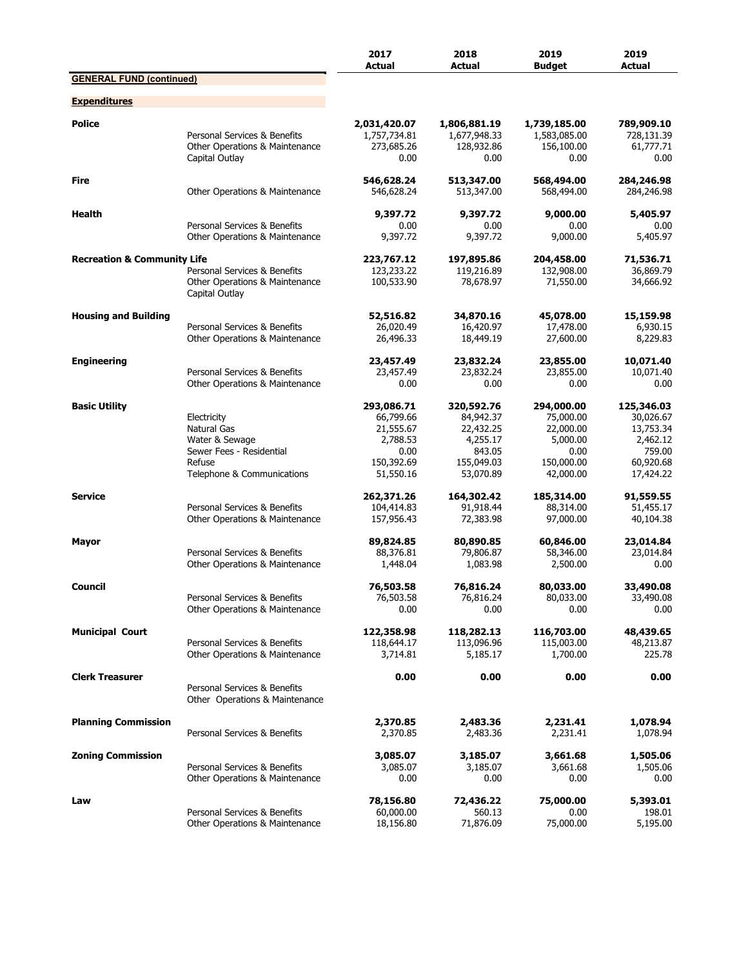|                                        |                                                                                                                  | 2017<br><b>Actual</b>                                                               | 2018<br><b>Actual</b>                                                                 | 2019<br><b>Budget</b>                                                               | 2019<br><b>Actual</b>                                                                |
|----------------------------------------|------------------------------------------------------------------------------------------------------------------|-------------------------------------------------------------------------------------|---------------------------------------------------------------------------------------|-------------------------------------------------------------------------------------|--------------------------------------------------------------------------------------|
| <b>GENERAL FUND (continued)</b>        |                                                                                                                  |                                                                                     |                                                                                       |                                                                                     |                                                                                      |
| <b>Expenditures</b>                    |                                                                                                                  |                                                                                     |                                                                                       |                                                                                     |                                                                                      |
| <b>Police</b>                          | Personal Services & Benefits<br>Other Operations & Maintenance<br>Capital Outlay                                 | 2,031,420.07<br>1,757,734.81<br>273,685.26<br>0.00                                  | 1,806,881.19<br>1,677,948.33<br>128,932.86<br>0.00                                    | 1,739,185.00<br>1,583,085.00<br>156,100.00<br>0.00                                  | 789,909.10<br>728,131.39<br>61,777.71<br>0.00                                        |
| <b>Fire</b>                            | Other Operations & Maintenance                                                                                   | 546,628.24<br>546,628.24                                                            | 513,347.00<br>513,347.00                                                              | 568,494.00<br>568,494.00                                                            | 284,246.98<br>284,246.98                                                             |
| <b>Health</b>                          | Personal Services & Benefits<br>Other Operations & Maintenance                                                   | 9,397.72<br>0.00<br>9,397.72                                                        | 9,397.72<br>0.00<br>9,397.72                                                          | 9,000.00<br>0.00<br>9,000.00                                                        | 5,405.97<br>0.00<br>5,405.97                                                         |
| <b>Recreation &amp; Community Life</b> | Personal Services & Benefits<br>Other Operations & Maintenance<br>Capital Outlay                                 | 223,767.12<br>123,233.22<br>100,533.90                                              | 197,895.86<br>119,216.89<br>78,678.97                                                 | 204,458.00<br>132,908.00<br>71,550.00                                               | 71,536.71<br>36,869.79<br>34,666.92                                                  |
| <b>Housing and Building</b>            | Personal Services & Benefits<br>Other Operations & Maintenance                                                   | 52,516.82<br>26,020.49<br>26,496.33                                                 | 34,870.16<br>16,420.97<br>18,449.19                                                   | 45,078.00<br>17,478.00<br>27,600.00                                                 | 15,159.98<br>6,930.15<br>8,229.83                                                    |
| <b>Engineering</b>                     | Personal Services & Benefits<br>Other Operations & Maintenance                                                   | 23,457.49<br>23,457.49<br>0.00                                                      | 23,832.24<br>23,832.24<br>0.00                                                        | 23,855.00<br>23,855.00<br>0.00                                                      | 10,071.40<br>10,071.40<br>0.00                                                       |
| <b>Basic Utility</b>                   | Electricity<br>Natural Gas<br>Water & Sewage<br>Sewer Fees - Residential<br>Refuse<br>Telephone & Communications | 293,086.71<br>66,799.66<br>21,555.67<br>2,788.53<br>0.00<br>150,392.69<br>51,550.16 | 320,592.76<br>84,942.37<br>22,432.25<br>4,255.17<br>843.05<br>155,049.03<br>53,070.89 | 294,000.00<br>75,000.00<br>22,000.00<br>5,000.00<br>0.00<br>150,000.00<br>42,000.00 | 125,346.03<br>30,026.67<br>13,753.34<br>2,462.12<br>759.00<br>60,920.68<br>17,424.22 |
| <b>Service</b>                         | Personal Services & Benefits<br>Other Operations & Maintenance                                                   | 262,371.26<br>104,414.83<br>157,956.43                                              | 164,302.42<br>91,918.44<br>72,383.98                                                  | 185,314.00<br>88,314.00<br>97,000.00                                                | 91,559.55<br>51,455.17<br>40,104.38                                                  |
| Mayor                                  | Personal Services & Benefits<br>Other Operations & Maintenance                                                   | 89,824.85<br>88,376.81<br>1,448.04                                                  | 80,890.85<br>79,806.87<br>1,083.98                                                    | 60,846.00<br>58,346.00<br>2,500.00                                                  | 23,014.84<br>23,014.84<br>0.00                                                       |
| Council                                | Personal Services & Benefits<br>Other Operations & Maintenance                                                   | 76,503.58<br>76,503.58<br>0.00                                                      | 76,816.24<br>76,816.24<br>0.00                                                        | 80,033.00<br>80,033.00<br>0.00                                                      | 33,490.08<br>33,490.08<br>0.00                                                       |
| <b>Municipal Court</b>                 | Personal Services & Benefits<br>Other Operations & Maintenance                                                   | 122,358.98<br>118,644.17<br>3,714.81                                                | 118,282.13<br>113,096.96<br>5,185.17                                                  | 116,703.00<br>115,003.00<br>1,700.00                                                | 48,439.65<br>48,213.87<br>225.78                                                     |
| <b>Clerk Treasurer</b>                 | Personal Services & Benefits<br>Other Operations & Maintenance                                                   | 0.00                                                                                | 0.00                                                                                  | 0.00                                                                                | 0.00                                                                                 |
| <b>Planning Commission</b>             | Personal Services & Benefits                                                                                     | 2,370.85<br>2,370.85                                                                | 2,483.36<br>2,483.36                                                                  | 2,231.41<br>2,231.41                                                                | 1,078.94<br>1,078.94                                                                 |
| <b>Zoning Commission</b>               | Personal Services & Benefits<br>Other Operations & Maintenance                                                   | 3,085.07<br>3,085.07<br>0.00                                                        | 3,185.07<br>3,185.07<br>0.00                                                          | 3,661.68<br>3,661.68<br>0.00                                                        | 1,505.06<br>1,505.06<br>0.00                                                         |
| Law                                    | Personal Services & Benefits<br>Other Operations & Maintenance                                                   | 78,156.80<br>60,000.00<br>18,156.80                                                 | 72,436.22<br>560.13<br>71,876.09                                                      | 75,000.00<br>0.00<br>75,000.00                                                      | 5,393.01<br>198.01<br>5,195.00                                                       |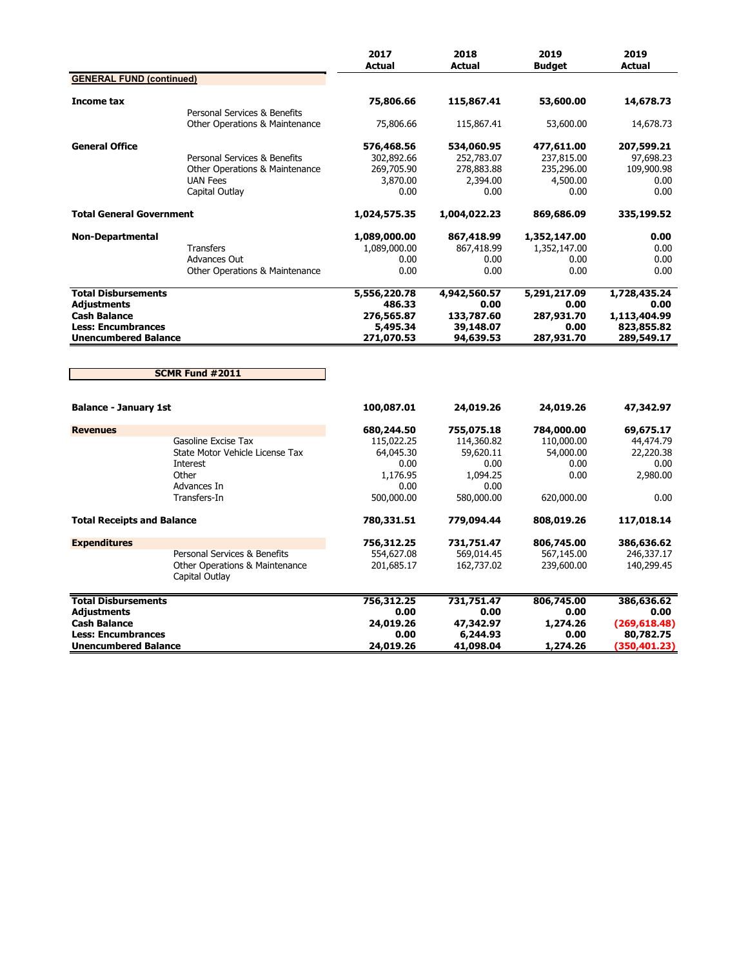|                                                                                                                                     |                                                                                                                | 2017<br><b>Actual</b>                                      | 2018<br><b>Actual</b>                                             | 2019<br><b>Budget</b>                                      | 2019<br><b>Actual</b>                                             |
|-------------------------------------------------------------------------------------------------------------------------------------|----------------------------------------------------------------------------------------------------------------|------------------------------------------------------------|-------------------------------------------------------------------|------------------------------------------------------------|-------------------------------------------------------------------|
| <b>GENERAL FUND (continued)</b>                                                                                                     |                                                                                                                |                                                            |                                                                   |                                                            |                                                                   |
| Income tax                                                                                                                          | Personal Services & Benefits                                                                                   | 75,806.66                                                  | 115,867.41                                                        | 53,600.00                                                  | 14,678.73                                                         |
|                                                                                                                                     | Other Operations & Maintenance                                                                                 | 75,806.66                                                  | 115,867.41                                                        | 53,600.00                                                  | 14,678.73                                                         |
| <b>General Office</b>                                                                                                               | Personal Services & Benefits<br><b>Other Operations &amp; Maintenance</b><br><b>UAN Fees</b><br>Capital Outlay | 576,468.56<br>302,892.66<br>269,705.90<br>3,870.00<br>0.00 | 534,060.95<br>252,783.07<br>278,883.88<br>2,394.00<br>0.00        | 477,611.00<br>237,815.00<br>235,296.00<br>4,500.00<br>0.00 | 207,599.21<br>97,698.23<br>109,900.98<br>0.00<br>0.00             |
| <b>Total General Government</b>                                                                                                     |                                                                                                                | 1,024,575.35                                               | 1,004,022.23                                                      | 869,686.09                                                 | 335,199.52                                                        |
| <b>Non-Departmental</b>                                                                                                             | <b>Transfers</b><br><b>Advances Out</b><br>Other Operations & Maintenance                                      | 1,089,000.00<br>1,089,000.00<br>0.00<br>0.00               | 867,418.99<br>867,418.99<br>0.00<br>0.00                          | 1,352,147.00<br>1,352,147.00<br>0.00<br>0.00               | 0.00<br>0.00<br>0.00<br>0.00                                      |
| <b>Total Disbursements</b>                                                                                                          |                                                                                                                | 5,556,220.78                                               | 4,942,560.57                                                      | 5,291,217.09                                               | 1,728,435.24                                                      |
| <b>Adjustments</b><br><b>Cash Balance</b><br><b>Less: Encumbrances</b><br><b>Unencumbered Balance</b>                               |                                                                                                                | 486.33<br>276,565.87<br>5,495.34<br>271,070.53             | 0.00<br>133,787.60<br>39,148.07<br>94,639.53                      | 0.00<br>287,931.70<br>0.00<br>287,931.70                   | 0.00<br>1,113,404.99<br>823,855.82<br>289,549.17                  |
|                                                                                                                                     | SCMR Fund #2011                                                                                                |                                                            |                                                                   |                                                            |                                                                   |
| <b>Balance - January 1st</b>                                                                                                        |                                                                                                                | 100,087.01                                                 | 24,019.26                                                         | 24,019.26                                                  | 47,342.97                                                         |
| <b>Revenues</b>                                                                                                                     | Gasoline Excise Tax                                                                                            | 680,244.50<br>115,022.25                                   | 755,075.18                                                        | 784,000.00<br>110,000.00                                   | 69,675.17                                                         |
|                                                                                                                                     | State Motor Vehicle License Tax<br>Interest<br>Other<br>Advances In<br>Transfers-In                            | 64,045.30<br>0.00<br>1,176.95<br>0.00<br>500,000.00        | 114,360.82<br>59,620.11<br>0.00<br>1.094.25<br>0.00<br>580,000.00 | 54,000.00<br>0.00<br>0.00<br>620,000.00                    | 44,474.79<br>22,220.38<br>0.00<br>2,980.00<br>0.00                |
| <b>Total Receipts and Balance</b>                                                                                                   |                                                                                                                | 780,331.51                                                 | 779,094.44                                                        | 808,019.26                                                 | 117,018.14                                                        |
| <b>Expenditures</b>                                                                                                                 | Personal Services & Benefits<br>Other Operations & Maintenance<br>Capital Outlay                               | 756,312.25<br>554,627.08<br>201,685.17                     | 731,751.47<br>569,014.45<br>162,737.02                            | 806,745.00<br>567,145.00<br>239,600.00                     | 386,636.62<br>246,337.17<br>140,299.45                            |
| <b>Total Disbursements</b><br><b>Adjustments</b><br><b>Cash Balance</b><br><b>Less: Encumbrances</b><br><b>Unencumbered Balance</b> |                                                                                                                | 756,312.25<br>0.00<br>24,019.26<br>0.00<br>24,019.26       | 731,751.47<br>0.00<br>47,342.97<br>6,244.93<br>41,098.04          | 806,745.00<br>0.00<br>1,274.26<br>0.00<br>1,274.26         | 386,636.62<br>0.00<br>(269, 618.48)<br>80,782.75<br>(350, 401.23) |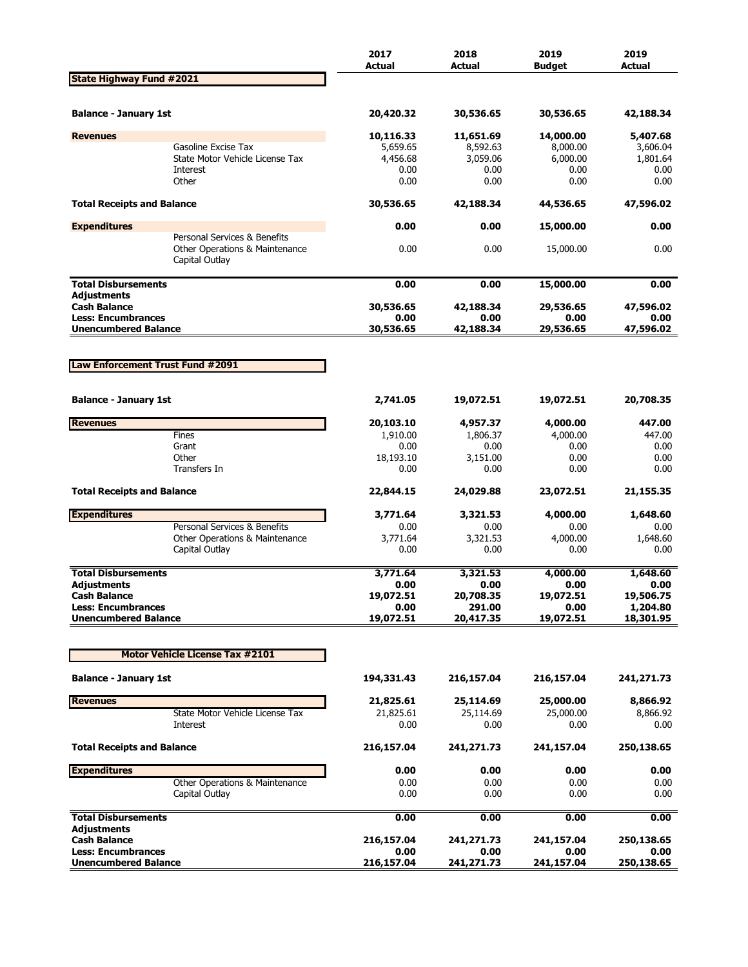|                                                  |                                                                | 2017<br><b>Actual</b> | 2018<br><b>Actual</b> | 2019<br><b>Budget</b> | 2019<br><b>Actual</b> |
|--------------------------------------------------|----------------------------------------------------------------|-----------------------|-----------------------|-----------------------|-----------------------|
| <b>State Highway Fund #2021</b>                  |                                                                |                       |                       |                       |                       |
| <b>Balance - January 1st</b>                     |                                                                | 20,420.32             | 30,536.65             | 30,536.65             | 42,188.34             |
| <b>Revenues</b>                                  |                                                                | 10,116.33             | 11,651.69             | 14,000.00             | 5,407.68              |
|                                                  | Gasoline Excise Tax                                            | 5,659.65              | 8,592.63              | 8,000.00              | 3,606.04              |
|                                                  | State Motor Vehicle License Tax                                | 4,456.68              | 3,059.06              | 6,000.00              | 1,801.64              |
|                                                  | Interest<br>Other                                              | 0.00<br>0.00          | 0.00<br>0.00          | 0.00<br>0.00          | 0.00<br>0.00          |
|                                                  |                                                                |                       |                       |                       |                       |
| <b>Total Receipts and Balance</b>                |                                                                | 30,536.65             | 42,188.34             | 44,536.65             | 47,596.02             |
| <b>Expenditures</b>                              | Personal Services & Benefits                                   | 0.00                  | 0.00                  | 15,000.00             | 0.00                  |
|                                                  | Other Operations & Maintenance<br>Capital Outlay               | 0.00                  | 0.00                  | 15,000.00             | 0.00                  |
| <b>Total Disbursements</b>                       |                                                                | 0.00                  | 0.00                  | 15,000.00             | 0.00                  |
| <b>Adjustments</b>                               |                                                                |                       |                       |                       |                       |
| <b>Cash Balance</b><br><b>Less: Encumbrances</b> |                                                                | 30,536.65<br>0.00     | 42,188.34<br>0.00     | 29,536.65<br>0.00     | 47,596.02<br>0.00     |
| <b>Unencumbered Balance</b>                      |                                                                | 30,536.65             | 42,188.34             | 29,536.65             | 47,596.02             |
|                                                  |                                                                |                       |                       |                       |                       |
|                                                  |                                                                |                       |                       |                       |                       |
| Law Enforcement Trust Fund #2091                 |                                                                |                       |                       |                       |                       |
|                                                  |                                                                |                       |                       |                       |                       |
| <b>Balance - January 1st</b>                     |                                                                | 2,741.05              | 19,072.51             | 19,072.51             | 20,708.35             |
| <b>Revenues</b>                                  |                                                                | 20,103.10             | 4,957.37              | 4,000.00              | 447.00                |
|                                                  | Fines                                                          | 1,910.00              | 1,806.37              | 4,000.00              | 447.00                |
|                                                  | Grant<br>Other                                                 | 0.00<br>18,193.10     | 0.00<br>3,151.00      | 0.00<br>0.00          | 0.00<br>0.00          |
|                                                  | Transfers In                                                   | 0.00                  | 0.00                  | 0.00                  | 0.00                  |
| <b>Total Receipts and Balance</b>                |                                                                | 22,844.15             | 24,029.88             | 23,072.51             | 21,155.35             |
|                                                  |                                                                |                       |                       |                       |                       |
| <b>Expenditures</b>                              |                                                                | 3,771.64              | 3,321.53              | 4,000.00              | 1,648.60              |
|                                                  | Personal Services & Benefits<br>Other Operations & Maintenance | 0.00<br>3,771.64      | 0.00<br>3,321.53      | 0.00<br>4,000.00      | 0.00<br>1,648.60      |
|                                                  | Capital Outlay                                                 | 0.00                  | 0.00                  | 0.00                  | 0.00                  |
|                                                  |                                                                |                       |                       |                       |                       |
| <b>Total Disbursements</b>                       |                                                                | 3,771.64              | 3,321.53              | 4,000.00              | 1,648.60              |
| Adjustments<br><b>Cash Balance</b>               |                                                                | 0.00<br>19,072.51     | 0.00<br>20,708.35     | 0.00<br>19,072.51     | 0.00<br>19,506.75     |
| <b>Less: Encumbrances</b>                        |                                                                | 0.00                  | 291.00                | 0.00                  | 1,204.80              |
| <b>Unencumbered Balance</b>                      |                                                                | 19,072.51             | 20,417.35             | 19,072.51             | 18,301.95             |
|                                                  |                                                                |                       |                       |                       |                       |
|                                                  | <b>Motor Vehicle License Tax #2101</b>                         |                       |                       |                       |                       |
| <b>Balance - January 1st</b>                     |                                                                | 194,331.43            | 216,157.04            | 216,157.04            | 241,271.73            |
| <b>Revenues</b>                                  |                                                                | 21,825.61             | 25,114.69             | 25,000.00             | 8,866.92              |
|                                                  | State Motor Vehicle License Tax                                | 21,825.61             | 25,114.69             | 25,000.00             | 8,866.92              |
|                                                  | Interest                                                       | 0.00                  | 0.00                  | 0.00                  | 0.00                  |
| <b>Total Receipts and Balance</b>                |                                                                | 216,157.04            | 241,271.73            | 241,157.04            | 250,138.65            |
| <b>Expenditures</b>                              |                                                                | 0.00                  | 0.00                  | 0.00                  | 0.00                  |
|                                                  | Other Operations & Maintenance                                 | 0.00                  | 0.00                  | 0.00                  | 0.00                  |
|                                                  | Capital Outlay                                                 | 0.00                  | 0.00                  | 0.00                  | 0.00                  |
| <b>Total Disbursements</b>                       |                                                                | 0.00                  | 0.00                  | 0.00                  | 0.00                  |
| <b>Adjustments</b><br><b>Cash Balance</b>        |                                                                | 216,157.04            | 241,271.73            | 241,157.04            | 250,138.65            |
| <b>Less: Encumbrances</b>                        |                                                                | 0.00                  | 0.00                  | 0.00                  | 0.00                  |
| <b>Unencumbered Balance</b>                      |                                                                | 216,157.04            | 241,271.73            | 241,157.04            | 250,138.65            |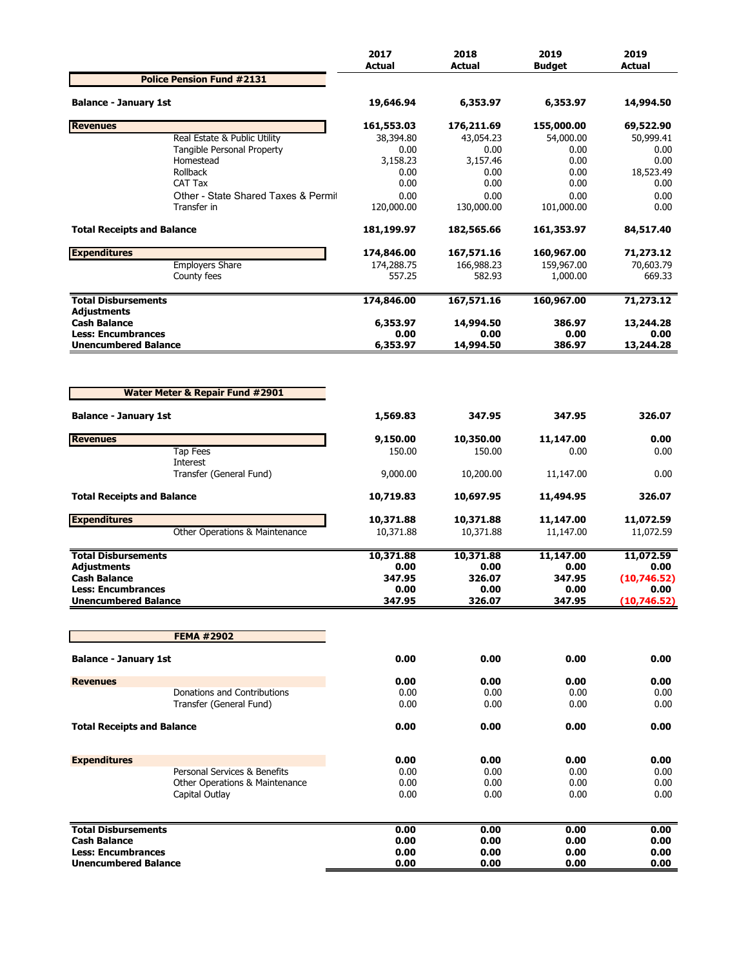|                                                          |                                            | 2017<br><b>Actual</b> | 2018<br><b>Actual</b> | 2019<br><b>Budget</b> | 2019<br>Actual       |
|----------------------------------------------------------|--------------------------------------------|-----------------------|-----------------------|-----------------------|----------------------|
|                                                          | <b>Police Pension Fund #2131</b>           |                       |                       |                       |                      |
| <b>Balance - January 1st</b>                             |                                            | 19,646.94             | 6,353.97              | 6,353.97              | 14,994.50            |
| <b>Revenues</b>                                          |                                            | 161,553.03            | 176,211.69            | 155,000.00            | 69,522.90            |
|                                                          | Real Estate & Public Utility               | 38,394.80             | 43,054.23             | 54,000.00             | 50,999.41            |
|                                                          | Tangible Personal Property<br>Homestead    | 0.00<br>3,158.23      | 0.00<br>3,157.46      | 0.00<br>0.00          | 0.00<br>0.00         |
|                                                          | Rollback                                   | 0.00                  | 0.00                  | 0.00                  | 18,523.49            |
|                                                          | CAT Tax                                    | 0.00                  | 0.00                  | 0.00                  | 0.00                 |
|                                                          | Other - State Shared Taxes & Permit        | 0.00                  | 0.00                  | 0.00                  | 0.00                 |
|                                                          | Transfer in                                | 120,000.00            | 130,000.00            | 101,000.00            | 0.00                 |
| <b>Total Receipts and Balance</b>                        |                                            | 181,199.97            | 182,565.66            | 161,353.97            | 84,517.40            |
| <b>Expenditures</b>                                      |                                            | 174,846.00            | 167,571.16            | 160,967.00            | 71,273.12            |
|                                                          | <b>Employers Share</b>                     | 174,288.75            | 166,988.23            | 159,967.00            | 70,603.79            |
|                                                          | County fees                                | 557.25                | 582.93                | 1,000.00              | 669.33               |
| <b>Total Disbursements</b><br>Adjustments                |                                            | 174,846.00            | 167,571.16            | 160,967.00            | 71,273.12            |
| <b>Cash Balance</b>                                      |                                            | 6,353.97              | 14,994.50             | 386.97                | 13,244.28            |
| <b>Less: Encumbrances</b><br><b>Unencumbered Balance</b> |                                            | 0.00<br>6,353.97      | 0.00<br>14,994.50     | 0.00<br>386.97        | 0.00<br>13,244.28    |
|                                                          | <b>Water Meter &amp; Repair Fund #2901</b> |                       |                       |                       |                      |
| <b>Balance - January 1st</b>                             |                                            | 1,569.83              | 347.95                | 347.95                | 326.07               |
| <b>Revenues</b>                                          |                                            | 9,150.00              | 10,350.00             | 11,147.00             | 0.00                 |
|                                                          | <b>Tap Fees</b>                            | 150.00                | 150.00                | 0.00                  | 0.00                 |
|                                                          | Interest<br>Transfer (General Fund)        | 9,000.00              | 10,200.00             | 11,147.00             | 0.00                 |
| <b>Total Receipts and Balance</b>                        |                                            | 10,719.83             | 10,697.95             | 11,494.95             | 326.07               |
| <b>Expenditures</b>                                      |                                            | 10,371.88             | 10,371.88             | 11,147.00             | 11,072.59            |
|                                                          | Other Operations & Maintenance             | 10,371.88             | 10,371.88             | 11,147.00             | 11,072.59            |
| <b>Total Disbursements</b>                               |                                            | 10,371.88             | 10,371.88             | 11,147.00             | 11,072.59            |
| Adjustments                                              |                                            | 0.00                  | 0.00                  | 0.00                  | 0.00                 |
| <b>Cash Balance</b>                                      |                                            | 347.95                | 326.07                | 347.95                | (10,746.52)          |
| <b>Less: Encumbrances</b><br><b>Unencumbered Balance</b> |                                            | 0.00<br>347.95        | 0.00<br>326.07        | 0.00<br>347.95        | 0.00<br>(10, 746.52) |
|                                                          |                                            |                       |                       |                       |                      |
|                                                          | <b>FEMA #2902</b>                          |                       |                       |                       |                      |
| <b>Balance - January 1st</b>                             |                                            | 0.00                  | 0.00                  | 0.00                  | 0.00                 |
| <b>Revenues</b>                                          |                                            | 0.00                  | 0.00                  | 0.00                  | 0.00                 |
|                                                          | Donations and Contributions                | 0.00                  | 0.00                  | 0.00                  | 0.00                 |
|                                                          | Transfer (General Fund)                    | 0.00                  | 0.00                  | 0.00                  | 0.00                 |
| <b>Total Receipts and Balance</b>                        |                                            | 0.00                  | 0.00                  | 0.00                  | 0.00                 |
| <b>Expenditures</b>                                      |                                            | 0.00                  | 0.00                  | 0.00                  | 0.00                 |
|                                                          | Personal Services & Benefits               | 0.00                  | 0.00                  | 0.00                  | 0.00                 |
|                                                          | Other Operations & Maintenance             | 0.00                  | 0.00                  | 0.00                  | 0.00                 |
|                                                          | Capital Outlay                             | 0.00                  | 0.00                  | 0.00                  | 0.00                 |
| <b>Total Disbursements</b>                               |                                            | 0.00                  | 0.00                  | 0.00                  | 0.00                 |
| <b>Cash Balance</b>                                      |                                            | 0.00                  | 0.00                  | 0.00                  | 0.00                 |
| <b>Less: Encumbrances</b>                                |                                            | 0.00                  | 0.00                  | 0.00                  | 0.00                 |
| <b>Unencumbered Balance</b>                              |                                            | 0.00                  | 0.00                  | 0.00                  | 0.00                 |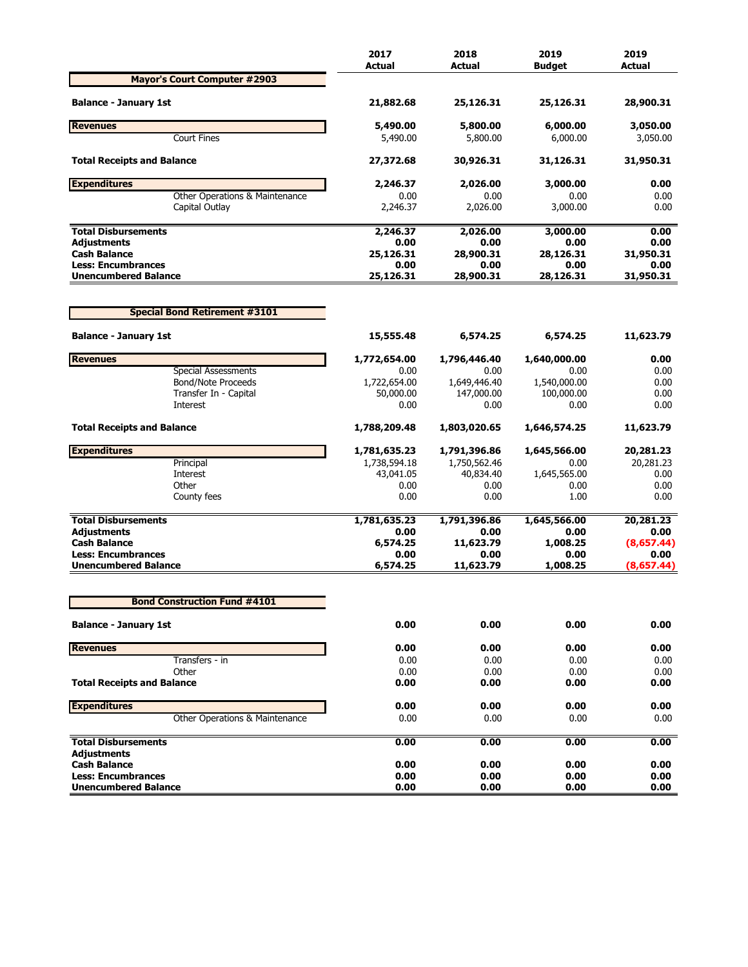|                                                          | 2017<br><b>Actual</b> | 2018<br>Actual    | 2019<br><b>Budaet</b> | 2019<br><b>Actual</b> |
|----------------------------------------------------------|-----------------------|-------------------|-----------------------|-----------------------|
| <b>Mayor's Court Computer #2903</b>                      |                       |                   |                       |                       |
| <b>Balance - January 1st</b>                             | 21,882.68             | 25,126.31         | 25,126.31             | 28,900.31             |
| <b>Revenues</b>                                          | 5,490.00              | 5,800.00          | 6,000.00              | 3,050.00              |
| <b>Court Fines</b>                                       | 5,490.00              | 5,800.00          | 6,000.00              | 3,050.00              |
| <b>Total Receipts and Balance</b>                        | 27,372.68             | 30,926.31         | 31,126.31             | 31,950.31             |
| <b>Expenditures</b>                                      | 2,246.37              | 2,026.00          | 3,000.00              | 0.00                  |
| Other Operations & Maintenance                           | 0.00                  | 0.00              | 0.00                  | 0.00                  |
| Capital Outlay                                           | 2,246.37              | 2,026.00          | 3,000.00              | 0.00                  |
| <b>Total Disbursements</b>                               | 2,246.37              | 2,026.00          | 3,000.00              | 0.00                  |
| <b>Adjustments</b>                                       | 0.00                  | 0.00              | 0.00                  | 0.00                  |
| <b>Cash Balance</b>                                      | 25,126.31             | 28,900.31         | 28,126.31             | 31,950.31             |
| <b>Less: Encumbrances</b><br><b>Unencumbered Balance</b> | 0.00<br>25,126.31     | 0.00<br>28,900.31 | 0.00<br>28,126.31     | 0.00<br>31,950.31     |
|                                                          |                       |                   |                       |                       |
| <b>Special Bond Retirement #3101</b>                     |                       |                   |                       |                       |
| <b>Balance - January 1st</b>                             | 15,555.48             | 6,574.25          | 6,574.25              | 11,623.79             |
| <b>Revenues</b>                                          | 1,772,654.00          | 1,796,446.40      | 1,640,000.00          | 0.00                  |
| <b>Special Assessments</b>                               | 0.00                  | 0.00              | 0.00                  | 0.00                  |
| <b>Bond/Note Proceeds</b>                                | 1,722,654.00          | 1,649,446.40      | 1,540,000.00          | 0.00                  |
| Transfer In - Capital                                    | 50,000.00             | 147,000.00        | 100,000.00            | 0.00                  |
| Interest                                                 | 0.00                  | 0.00              | 0.00                  | 0.00                  |
| <b>Total Receipts and Balance</b>                        | 1,788,209.48          | 1,803,020.65      | 1,646,574.25          | 11,623.79             |
| <b>Expenditures</b>                                      | 1,781,635.23          | 1,791,396.86      | 1,645,566.00          | 20,281.23             |
| Principal                                                | 1,738,594.18          | 1,750,562.46      | 0.00                  | 20,281.23             |
| Interest                                                 | 43,041.05             | 40,834.40         | 1,645,565.00          | 0.00                  |
| Other                                                    | 0.00                  | 0.00              | 0.00                  | 0.00                  |
| County fees                                              | 0.00                  | 0.00              | 1.00                  | 0.00                  |
| <b>Total Disbursements</b>                               | 1,781,635.23          | 1,791,396.86      | 1,645,566.00          | 20,281.23             |
| <b>Adjustments</b>                                       | 0.00                  | 0.00              | 0.00                  | 0.00                  |
| <b>Cash Balance</b>                                      | 6,574.25              | 11,623.79         | 1,008.25              | (8,657.44)            |
| <b>Less: Encumbrances</b>                                | 0.00                  | 0.00              | 0.00                  | 0.00                  |
| <b>Unencumbered Balance</b>                              | 6,574.25              | 11,623.79         | 1,008.25              | (8,657.44)            |
| <b>Bond Construction Fund #4101</b>                      |                       |                   |                       |                       |
| <b>Balance - January 1st</b>                             | 0.00                  | 0.00              | 0.00                  | 0.00                  |
| <b>Revenues</b>                                          | 0.00                  | 0.00              | 0.00                  | 0.00                  |
| Transfers - in                                           | 0.00                  | 0.00              | 0.00                  | 0.00                  |
| Other                                                    | 0.00                  | 0.00              | 0.00                  | 0.00                  |
| <b>Total Receipts and Balance</b>                        | 0.00                  | 0.00              | 0.00                  | 0.00                  |
| <b>Expenditures</b>                                      | 0.00                  | 0.00              | 0.00                  | 0.00                  |
| Other Operations & Maintenance                           | 0.00                  | 0.00              | 0.00                  | 0.00                  |
| <b>Total Disbursements</b>                               | 0.00                  | 0.00              | 0.00                  | 0.00                  |
| <b>Adjustments</b>                                       |                       |                   |                       |                       |
| <b>Cash Balance</b>                                      | 0.00                  | 0.00              | 0.00                  | 0.00                  |
| <b>Less: Encumbrances</b>                                | 0.00                  | 0.00              | 0.00                  | 0.00                  |
| <b>Unencumbered Balance</b>                              | 0.00                  | 0.00              | 0.00                  | 0.00                  |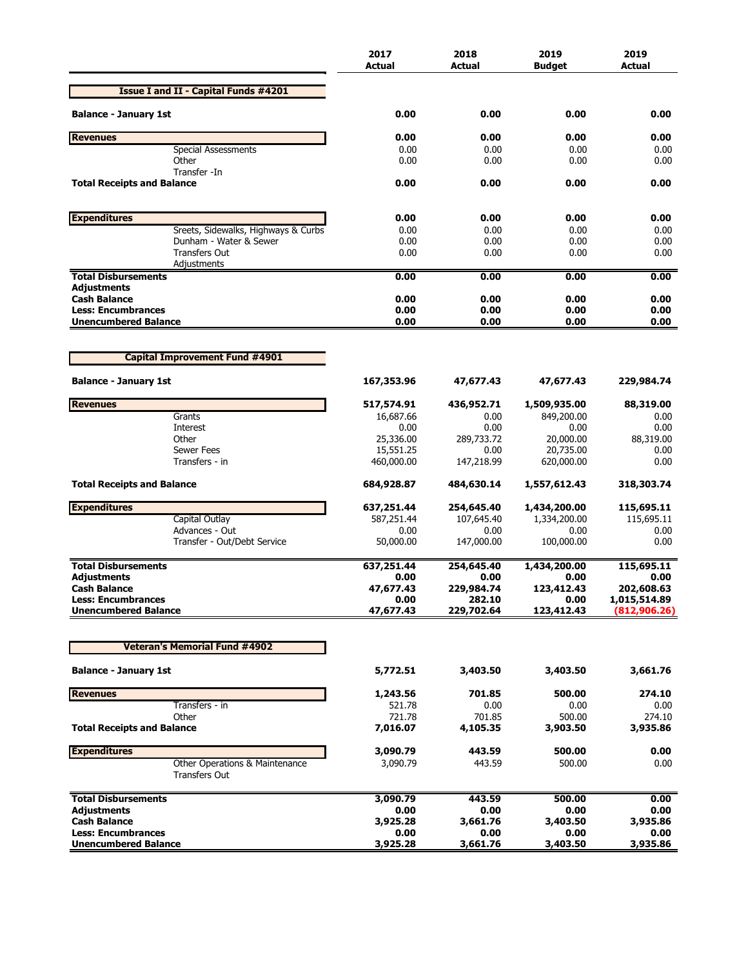|                                                          | 2017<br><b>Actual</b> | 2018<br><b>Actual</b> | 2019<br><b>Budget</b> | 2019<br>Actual     |
|----------------------------------------------------------|-----------------------|-----------------------|-----------------------|--------------------|
| <b>Issue I and II - Capital Funds #4201</b>              |                       |                       |                       |                    |
| <b>Balance - January 1st</b>                             | 0.00                  | 0.00                  | 0.00                  | 0.00               |
| <b>Revenues</b>                                          | 0.00                  | 0.00                  | 0.00                  | 0.00               |
| <b>Special Assessments</b>                               | 0.00                  | 0.00                  | 0.00                  | 0.00               |
| Other<br>Transfer -In                                    | 0.00                  | 0.00                  | 0.00                  | 0.00               |
| <b>Total Receipts and Balance</b>                        | 0.00                  | 0.00                  | 0.00                  | 0.00               |
| <b>Expenditures</b>                                      | 0.00                  | 0.00                  | 0.00                  | 0.00               |
| Sreets, Sidewalks, Highways & Curbs                      | 0.00                  | 0.00                  | 0.00                  | 0.00               |
| Dunham - Water & Sewer                                   | 0.00                  | 0.00                  | 0.00                  | 0.00               |
| <b>Transfers Out</b><br>Adjustments                      | 0.00                  | 0.00                  | 0.00                  | 0.00               |
| <b>Total Disbursements</b>                               | 0.00                  | 0.00                  | 0.00                  | 0.00               |
| Adjustments<br><b>Cash Balance</b>                       | 0.00                  | 0.00                  | 0.00                  | 0.00               |
| <b>Less: Encumbrances</b>                                | 0.00                  | 0.00                  | 0.00                  | 0.00               |
| <b>Unencumbered Balance</b>                              | 0.00                  | 0.00                  | 0.00                  | 0.00               |
|                                                          |                       |                       |                       |                    |
| <b>Capital Improvement Fund #4901</b>                    |                       |                       |                       |                    |
| <b>Balance - January 1st</b>                             | 167,353.96            | 47,677.43             | 47,677.43             | 229,984.74         |
| <b>Revenues</b>                                          | 517,574.91            | 436,952.71            | 1,509,935.00          | 88,319.00          |
| Grants                                                   | 16,687.66             | 0.00                  | 849,200.00            | 0.00               |
| Interest<br>Other                                        | 0.00<br>25,336.00     | 0.00<br>289,733.72    | 0.00<br>20,000.00     | 0.00<br>88,319.00  |
| <b>Sewer Fees</b>                                        | 15,551.25             | 0.00                  | 20,735.00             | 0.00               |
| Transfers - in                                           | 460,000.00            | 147,218.99            | 620,000.00            | 0.00               |
| <b>Total Receipts and Balance</b>                        | 684,928.87            | 484,630.14            | 1,557,612.43          | 318,303.74         |
| <b>Expenditures</b>                                      | 637,251.44            | 254,645.40            | 1,434,200.00          | 115,695.11         |
| Capital Outlay                                           | 587,251.44            | 107,645.40            | 1,334,200.00          | 115,695.11         |
| Advances - Out                                           | 0.00                  | 0.00                  | 0.00                  | 0.00               |
| Transfer - Out/Debt Service                              | 50,000.00             | 147,000.00            | 100,000.00            | 0.00               |
| <b>Total Disbursements</b>                               | 637,251.44            | 254,645.40            | 1,434,200.00          | 115,695.11         |
| Adjustments<br><b>Cash Balance</b>                       | 0.00<br>47,677.43     | 0.00<br>229,984.74    | 0.00<br>123,412.43    | 0.00<br>202,608.63 |
| <b>Less: Encumbrances</b>                                | 0.00                  | 282.10                | 0.00                  | 1,015,514.89       |
| <b>Unencumbered Balance</b>                              | 47,677.43             | 229,702.64            | 123,412.43            | (812, 906.26)      |
|                                                          |                       |                       |                       |                    |
| <b>Veteran's Memorial Fund #4902</b>                     |                       |                       |                       |                    |
| <b>Balance - January 1st</b>                             | 5,772.51              | 3,403.50              | 3,403.50              | 3,661.76           |
| <b>Revenues</b>                                          | 1,243.56              | 701.85                | 500.00                | 274.10             |
| Transfers - in                                           | 521.78                | 0.00                  | 0.00                  | 0.00               |
| Other<br><b>Total Receipts and Balance</b>               | 721.78<br>7,016.07    | 701.85<br>4,105.35    | 500.00<br>3,903.50    | 274.10<br>3,935.86 |
| <b>Expenditures</b>                                      | 3,090.79              | 443.59                | 500.00                | 0.00               |
| Other Operations & Maintenance                           | 3,090.79              | 443.59                | 500.00                | 0.00               |
| <b>Transfers Out</b>                                     |                       |                       |                       |                    |
| <b>Total Disbursements</b>                               | 3,090.79              | 443.59                | 500.00                | 0.00               |
| Adjustments                                              | 0.00                  | 0.00                  | 0.00                  | 0.00               |
| <b>Cash Balance</b>                                      | 3,925.28              | 3,661.76              | 3,403.50              | 3,935.86           |
| <b>Less: Encumbrances</b><br><b>Unencumbered Balance</b> | 0.00<br>3,925.28      | 0.00<br>3,661.76      | 0.00<br>3,403.50      | 0.00<br>3,935.86   |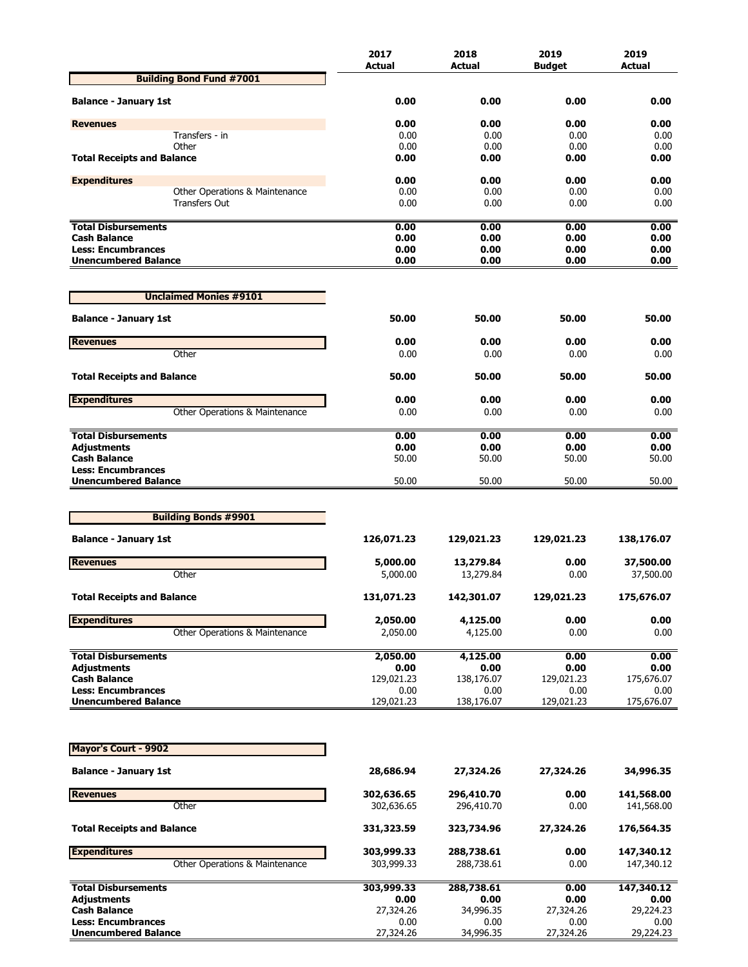|                                                          | 2017               | 2018               | 2019               | 2019               |
|----------------------------------------------------------|--------------------|--------------------|--------------------|--------------------|
|                                                          | <b>Actual</b>      | Actual             | <b>Budget</b>      | <b>Actual</b>      |
| <b>Building Bond Fund #7001</b>                          |                    |                    |                    |                    |
| <b>Balance - January 1st</b>                             | 0.00               | 0.00               | 0.00               | 0.00               |
| <b>Revenues</b>                                          | 0.00               | 0.00               | 0.00               | 0.00               |
| Transfers - in                                           | 0.00               | 0.00               | 0.00               | 0.00               |
| Other                                                    | 0.00               | 0.00               | 0.00               | 0.00               |
| <b>Total Receipts and Balance</b>                        | 0.00               | 0.00               | 0.00               | 0.00               |
| <b>Expenditures</b>                                      | 0.00               | 0.00               | 0.00               | 0.00               |
| Other Operations & Maintenance                           | 0.00               | 0.00               | 0.00               | 0.00               |
| Transfers Out                                            | 0.00               | 0.00               | 0.00               | 0.00               |
| <b>Total Disbursements</b>                               | 0.00               | 0.00               | 0.00               | 0.00               |
| <b>Cash Balance</b>                                      | 0.00               | 0.00               | 0.00               | 0.00               |
| <b>Less: Encumbrances</b>                                | 0.00               | 0.00               | 0.00               | 0.00               |
| <b>Unencumbered Balance</b>                              | 0.00               | 0.00               | 0.00               | 0.00               |
| <b>Unclaimed Monies #9101</b>                            |                    |                    |                    |                    |
| <b>Balance - January 1st</b>                             | 50.00              | 50.00              | 50.00              | 50.00              |
|                                                          |                    |                    |                    |                    |
| <b>Revenues</b><br>Other                                 | 0.00<br>0.00       | 0.00<br>0.00       | 0.00<br>0.00       | 0.00<br>0.00       |
|                                                          |                    |                    |                    |                    |
| <b>Total Receipts and Balance</b>                        | 50.00              | 50.00              | 50.00              | 50.00              |
| <b>Expenditures</b>                                      | 0.00               | 0.00               | 0.00               | 0.00               |
| Other Operations & Maintenance                           | 0.00               | 0.00               | 0.00               | 0.00               |
| <b>Total Disbursements</b>                               | 0.00               | 0.00               | 0.00               | 0.00               |
| <b>Adjustments</b>                                       | 0.00               | 0.00               | 0.00               | 0.00               |
| <b>Cash Balance</b>                                      | 50.00              | 50.00              | 50.00              | 50.00              |
| <b>Less: Encumbrances</b>                                |                    |                    |                    |                    |
| <b>Unencumbered Balance</b>                              | 50.00              | 50.00              | 50.00              | 50.00              |
|                                                          |                    |                    |                    |                    |
| <b>Building Bonds #9901</b>                              |                    |                    |                    |                    |
| <b>Balance - January 1st</b>                             | 126,071.23         | 129,021.23         | 129,021.23         | 138,176.07         |
| <b>Revenues</b>                                          | 5,000.00           | 13,279.84          | 0.00               | 37,500.00          |
| Other                                                    | 5,000.00           | 13,279.84          | 0.00               | 37,500.00          |
| <b>Total Receipts and Balance</b>                        | 131,071.23         | 142,301.07         | 129,021.23         | 175,676.07         |
|                                                          |                    |                    |                    |                    |
| <b>Expenditures</b>                                      | 2,050.00           | 4,125.00           | 0.00               | 0.00               |
| Other Operations & Maintenance                           | 2,050.00           | 4,125.00           | 0.00               | 0.00               |
| <b>Total Disbursements</b>                               | 2,050.00           | 4,125.00           | 0.00               | 0.00               |
| <b>Adjustments</b>                                       | 0.00               | 0.00               | 0.00               | 0.00               |
| <b>Cash Balance</b>                                      | 129,021.23         | 138,176.07         | 129,021.23         | 175,676.07         |
| <b>Less: Encumbrances</b><br><b>Unencumbered Balance</b> | 0.00<br>129,021.23 | 0.00<br>138,176.07 | 0.00<br>129,021.23 | 0.00<br>175,676.07 |
|                                                          |                    |                    |                    |                    |
| <b>Mayor's Court - 9902</b>                              |                    |                    |                    |                    |
|                                                          |                    |                    |                    |                    |
| <b>Balance - January 1st</b>                             | 28,686.94          | 27,324.26          | 27,324.26          | 34,996.35          |
| <b>Revenues</b>                                          | 302,636.65         | 296,410.70         | 0.00               | 141,568.00         |
| Other                                                    | 302,636.65         | 296,410.70         | 0.00               | 141,568.00         |
| <b>Total Receipts and Balance</b>                        | 331,323.59         | 323,734.96         | 27,324.26          | 176,564.35         |
| <b>Expenditures</b>                                      | 303,999.33         | 288,738.61         | 0.00               | 147,340.12         |
| Other Operations & Maintenance                           | 303,999.33         | 288,738.61         | 0.00               | 147,340.12         |
| <b>Total Disbursements</b>                               | 303,999.33         | 288,738.61         | 0.00               | 147,340.12         |
| <b>Adjustments</b>                                       | 0.00               | 0.00               | 0.00               | 0.00               |
| <b>Cash Balance</b><br><b>Less: Encumbrances</b>         | 27,324.26<br>0.00  | 34,996.35<br>0.00  | 27,324.26<br>0.00  | 29,224.23<br>0.00  |
| <b>Unencumbered Balance</b>                              | 27,324.26          | 34,996.35          | 27,324.26          | 29,224.23          |